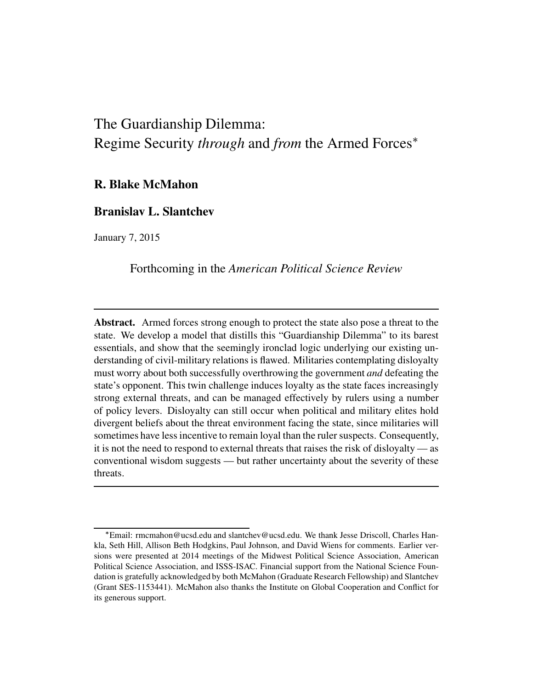# The Guardianship Dilemma: Regime Security *through* and *from* the Armed Forces<sup>\*</sup>

# R. Blake McMahon

# Branislav L. Slantchev

January 7, 2015

Forthcoming in the *American Political Science Review*

Abstract. Armed forces strong enough to protect the state also pose a threat to the state. We develop a model that distills this "Guardianship Dilemma" to its barest essentials, and show that the seemingly ironclad logic underlying our existing understanding of civil-military relations is flawed. Militaries contemplating disloyalty must worry about both successfully overthrowing the government *and* defeating the state's opponent. This twin challenge induces loyalty as the state faces increasingly strong external threats, and can be managed effectively by rulers using a number of policy levers. Disloyalty can still occur when political and military elites hold divergent beliefs about the threat environment facing the state, since militaries will sometimes have less incentive to remain loyal than the ruler suspects. Consequently, it is not the need to respond to external threats that raises the risk of disloyalty — as conventional wisdom suggests — but rather uncertainty about the severity of these threats.

<sup>!</sup>Email: rmcmahon@ucsd.edu and slantchev@ucsd.edu. We thank Jesse Driscoll, Charles Hankla, Seth Hill, Allison Beth Hodgkins, Paul Johnson, and David Wiens for comments. Earlier versions were presented at 2014 meetings of the Midwest Political Science Association, American Political Science Association, and ISSS-ISAC. Financial support from the National Science Foundation is gratefully acknowledged by both McMahon (Graduate Research Fellowship) and Slantchev (Grant SES-1153441). McMahon also thanks the Institute on Global Cooperation and Conflict for its generous support.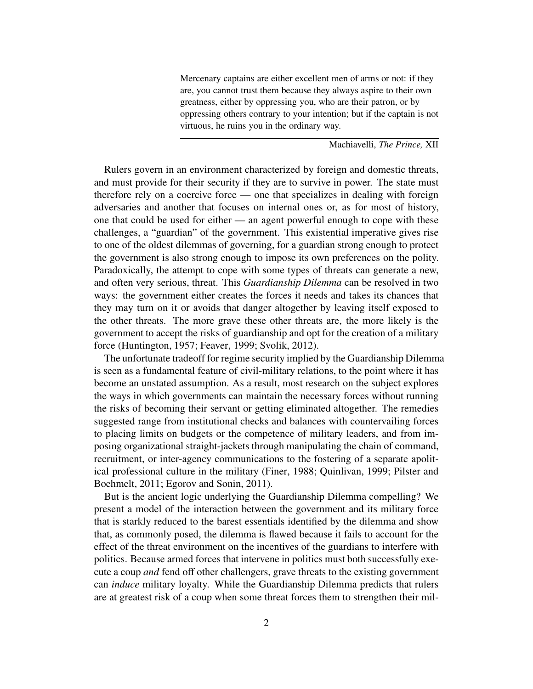Mercenary captains are either excellent men of arms or not: if they are, you cannot trust them because they always aspire to their own greatness, either by oppressing you, who are their patron, or by oppressing others contrary to your intention; but if the captain is not virtuous, he ruins you in the ordinary way.

#### Machiavelli, *The Prince,* XII

Rulers govern in an environment characterized by foreign and domestic threats, and must provide for their security if they are to survive in power. The state must therefore rely on a coercive force — one that specializes in dealing with foreign adversaries and another that focuses on internal ones or, as for most of history, one that could be used for either — an agent powerful enough to cope with these challenges, a "guardian" of the government. This existential imperative gives rise to one of the oldest dilemmas of governing, for a guardian strong enough to protect the government is also strong enough to impose its own preferences on the polity. Paradoxically, the attempt to cope with some types of threats can generate a new, and often very serious, threat. This *Guardianship Dilemma* can be resolved in two ways: the government either creates the forces it needs and takes its chances that they may turn on it or avoids that danger altogether by leaving itself exposed to the other threats. The more grave these other threats are, the more likely is the government to accept the risks of guardianship and opt for the creation of a military force (Huntington, 1957; Feaver, 1999; Svolik, 2012).

The unfortunate tradeoff for regime security implied by the Guardianship Dilemma is seen as a fundamental feature of civil-military relations, to the point where it has become an unstated assumption. As a result, most research on the subject explores the ways in which governments can maintain the necessary forces without running the risks of becoming their servant or getting eliminated altogether. The remedies suggested range from institutional checks and balances with countervailing forces to placing limits on budgets or the competence of military leaders, and from imposing organizational straight-jackets through manipulating the chain of command, recruitment, or inter-agency communications to the fostering of a separate apolitical professional culture in the military (Finer, 1988; Quinlivan, 1999; Pilster and Boehmelt, 2011; Egorov and Sonin, 2011).

But is the ancient logic underlying the Guardianship Dilemma compelling? We present a model of the interaction between the government and its military force that is starkly reduced to the barest essentials identified by the dilemma and show that, as commonly posed, the dilemma is flawed because it fails to account for the effect of the threat environment on the incentives of the guardians to interfere with politics. Because armed forces that intervene in politics must both successfully execute a coup *and* fend off other challengers, grave threats to the existing government can *induce* military loyalty. While the Guardianship Dilemma predicts that rulers are at greatest risk of a coup when some threat forces them to strengthen their mil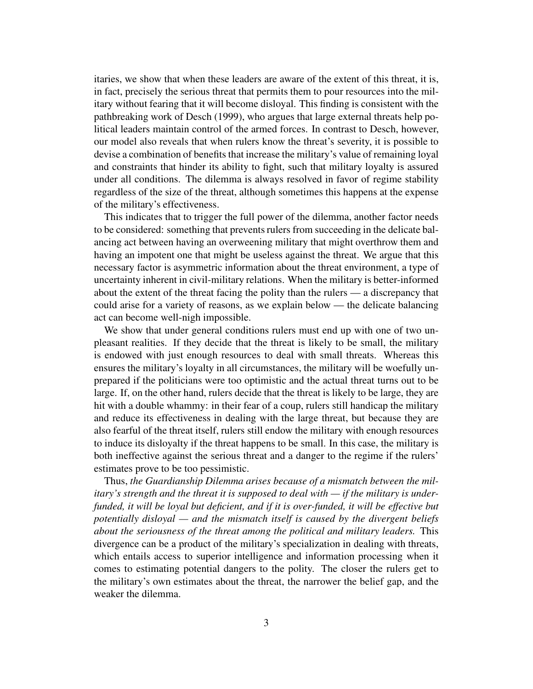itaries, we show that when these leaders are aware of the extent of this threat, it is, in fact, precisely the serious threat that permits them to pour resources into the military without fearing that it will become disloyal. This finding is consistent with the pathbreaking work of Desch (1999), who argues that large external threats help political leaders maintain control of the armed forces. In contrast to Desch, however, our model also reveals that when rulers know the threat's severity, it is possible to devise a combination of benefits that increase the military's value of remaining loyal and constraints that hinder its ability to fight, such that military loyalty is assured under all conditions. The dilemma is always resolved in favor of regime stability regardless of the size of the threat, although sometimes this happens at the expense of the military's effectiveness.

This indicates that to trigger the full power of the dilemma, another factor needs to be considered: something that prevents rulers from succeeding in the delicate balancing act between having an overweening military that might overthrow them and having an impotent one that might be useless against the threat. We argue that this necessary factor is asymmetric information about the threat environment, a type of uncertainty inherent in civil-military relations. When the military is better-informed about the extent of the threat facing the polity than the rulers — a discrepancy that could arise for a variety of reasons, as we explain below — the delicate balancing act can become well-nigh impossible.

We show that under general conditions rulers must end up with one of two unpleasant realities. If they decide that the threat is likely to be small, the military is endowed with just enough resources to deal with small threats. Whereas this ensures the military's loyalty in all circumstances, the military will be woefully unprepared if the politicians were too optimistic and the actual threat turns out to be large. If, on the other hand, rulers decide that the threat is likely to be large, they are hit with a double whammy: in their fear of a coup, rulers still handicap the military and reduce its effectiveness in dealing with the large threat, but because they are also fearful of the threat itself, rulers still endow the military with enough resources to induce its disloyalty if the threat happens to be small. In this case, the military is both ineffective against the serious threat and a danger to the regime if the rulers' estimates prove to be too pessimistic.

Thus, *the Guardianship Dilemma arises because of a mismatch between the military's strength and the threat it is supposed to deal with — if the military is underfunded, it will be loyal but deficient, and if it is over-funded, it will be effective but potentially disloyal — and the mismatch itself is caused by the divergent beliefs about the seriousness of the threat among the political and military leaders.* This divergence can be a product of the military's specialization in dealing with threats, which entails access to superior intelligence and information processing when it comes to estimating potential dangers to the polity. The closer the rulers get to the military's own estimates about the threat, the narrower the belief gap, and the weaker the dilemma.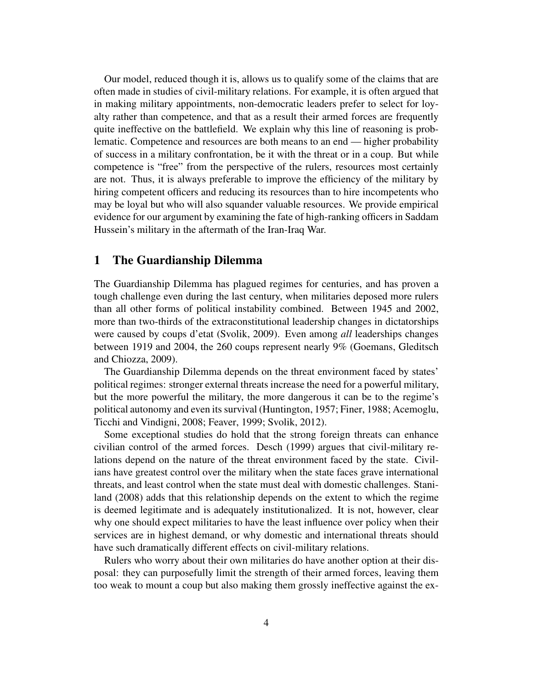Our model, reduced though it is, allows us to qualify some of the claims that are often made in studies of civil-military relations. For example, it is often argued that in making military appointments, non-democratic leaders prefer to select for loyalty rather than competence, and that as a result their armed forces are frequently quite ineffective on the battlefield. We explain why this line of reasoning is problematic. Competence and resources are both means to an end — higher probability of success in a military confrontation, be it with the threat or in a coup. But while competence is "free" from the perspective of the rulers, resources most certainly are not. Thus, it is always preferable to improve the efficiency of the military by hiring competent officers and reducing its resources than to hire incompetents who may be loyal but who will also squander valuable resources. We provide empirical evidence for our argument by examining the fate of high-ranking officers in Saddam Hussein's military in the aftermath of the Iran-Iraq War.

# 1 The Guardianship Dilemma

The Guardianship Dilemma has plagued regimes for centuries, and has proven a tough challenge even during the last century, when militaries deposed more rulers than all other forms of political instability combined. Between 1945 and 2002, more than two-thirds of the extraconstitutional leadership changes in dictatorships were caused by coups d'etat (Svolik, 2009). Even among *all* leaderships changes between 1919 and 2004, the 260 coups represent nearly 9% (Goemans, Gleditsch and Chiozza, 2009).

The Guardianship Dilemma depends on the threat environment faced by states' political regimes: stronger external threats increase the need for a powerful military, but the more powerful the military, the more dangerous it can be to the regime's political autonomy and even its survival (Huntington, 1957; Finer, 1988; Acemoglu, Ticchi and Vindigni, 2008; Feaver, 1999; Svolik, 2012).

Some exceptional studies do hold that the strong foreign threats can enhance civilian control of the armed forces. Desch (1999) argues that civil-military relations depend on the nature of the threat environment faced by the state. Civilians have greatest control over the military when the state faces grave international threats, and least control when the state must deal with domestic challenges. Staniland (2008) adds that this relationship depends on the extent to which the regime is deemed legitimate and is adequately institutionalized. It is not, however, clear why one should expect militaries to have the least influence over policy when their services are in highest demand, or why domestic and international threats should have such dramatically different effects on civil-military relations.

Rulers who worry about their own militaries do have another option at their disposal: they can purposefully limit the strength of their armed forces, leaving them too weak to mount a coup but also making them grossly ineffective against the ex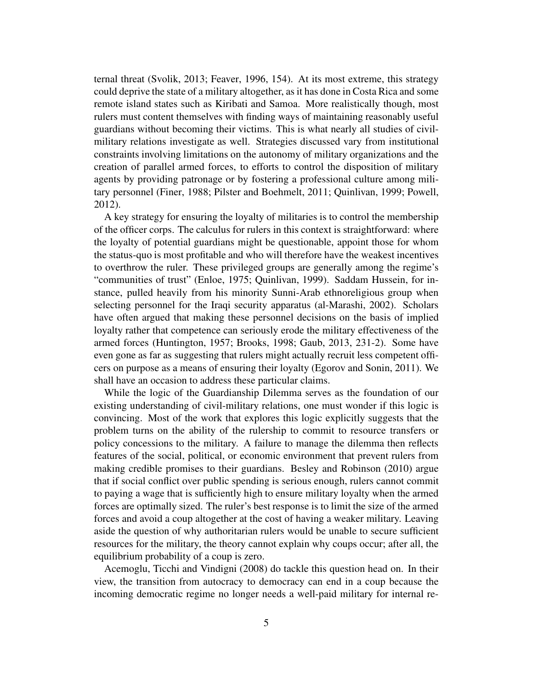ternal threat (Svolik, 2013; Feaver, 1996, 154). At its most extreme, this strategy could deprive the state of a military altogether, as it has done in Costa Rica and some remote island states such as Kiribati and Samoa. More realistically though, most rulers must content themselves with finding ways of maintaining reasonably useful guardians without becoming their victims. This is what nearly all studies of civilmilitary relations investigate as well. Strategies discussed vary from institutional constraints involving limitations on the autonomy of military organizations and the creation of parallel armed forces, to efforts to control the disposition of military agents by providing patronage or by fostering a professional culture among military personnel (Finer, 1988; Pilster and Boehmelt, 2011; Quinlivan, 1999; Powell, 2012).

A key strategy for ensuring the loyalty of militaries is to control the membership of the officer corps. The calculus for rulers in this context is straightforward: where the loyalty of potential guardians might be questionable, appoint those for whom the status-quo is most profitable and who will therefore have the weakest incentives to overthrow the ruler. These privileged groups are generally among the regime's "communities of trust" (Enloe, 1975; Quinlivan, 1999). Saddam Hussein, for instance, pulled heavily from his minority Sunni-Arab ethnoreligious group when selecting personnel for the Iraqi security apparatus (al-Marashi, 2002). Scholars have often argued that making these personnel decisions on the basis of implied loyalty rather that competence can seriously erode the military effectiveness of the armed forces (Huntington, 1957; Brooks, 1998; Gaub, 2013, 231-2). Some have even gone as far as suggesting that rulers might actually recruit less competent officers on purpose as a means of ensuring their loyalty (Egorov and Sonin, 2011). We shall have an occasion to address these particular claims.

While the logic of the Guardianship Dilemma serves as the foundation of our existing understanding of civil-military relations, one must wonder if this logic is convincing. Most of the work that explores this logic explicitly suggests that the problem turns on the ability of the rulership to commit to resource transfers or policy concessions to the military. A failure to manage the dilemma then reflects features of the social, political, or economic environment that prevent rulers from making credible promises to their guardians. Besley and Robinson (2010) argue that if social conflict over public spending is serious enough, rulers cannot commit to paying a wage that is sufficiently high to ensure military loyalty when the armed forces are optimally sized. The ruler's best response is to limit the size of the armed forces and avoid a coup altogether at the cost of having a weaker military. Leaving aside the question of why authoritarian rulers would be unable to secure sufficient resources for the military, the theory cannot explain why coups occur; after all, the equilibrium probability of a coup is zero.

Acemoglu, Ticchi and Vindigni (2008) do tackle this question head on. In their view, the transition from autocracy to democracy can end in a coup because the incoming democratic regime no longer needs a well-paid military for internal re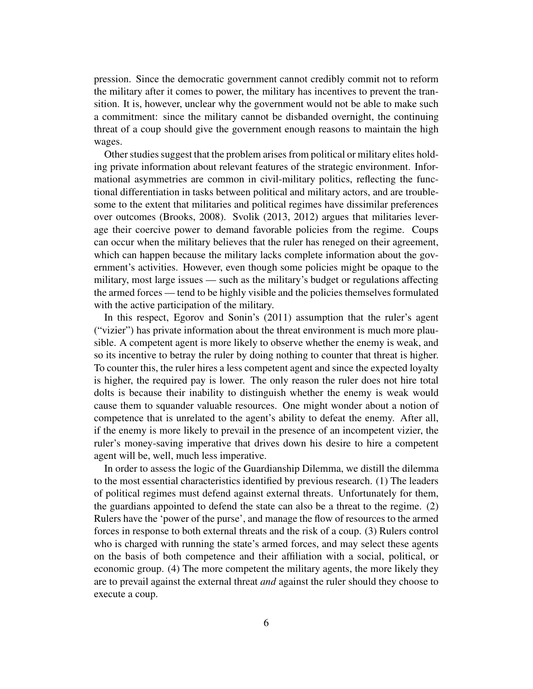pression. Since the democratic government cannot credibly commit not to reform the military after it comes to power, the military has incentives to prevent the transition. It is, however, unclear why the government would not be able to make such a commitment: since the military cannot be disbanded overnight, the continuing threat of a coup should give the government enough reasons to maintain the high wages.

Other studies suggest that the problem arises from political or military elites holding private information about relevant features of the strategic environment. Informational asymmetries are common in civil-military politics, reflecting the functional differentiation in tasks between political and military actors, and are troublesome to the extent that militaries and political regimes have dissimilar preferences over outcomes (Brooks, 2008). Svolik (2013, 2012) argues that militaries leverage their coercive power to demand favorable policies from the regime. Coups can occur when the military believes that the ruler has reneged on their agreement, which can happen because the military lacks complete information about the government's activities. However, even though some policies might be opaque to the military, most large issues — such as the military's budget or regulations affecting the armed forces — tend to be highly visible and the policies themselves formulated with the active participation of the military.

In this respect, Egorov and Sonin's (2011) assumption that the ruler's agent ("vizier") has private information about the threat environment is much more plausible. A competent agent is more likely to observe whether the enemy is weak, and so its incentive to betray the ruler by doing nothing to counter that threat is higher. To counter this, the ruler hires a less competent agent and since the expected loyalty is higher, the required pay is lower. The only reason the ruler does not hire total dolts is because their inability to distinguish whether the enemy is weak would cause them to squander valuable resources. One might wonder about a notion of competence that is unrelated to the agent's ability to defeat the enemy. After all, if the enemy is more likely to prevail in the presence of an incompetent vizier, the ruler's money-saving imperative that drives down his desire to hire a competent agent will be, well, much less imperative.

In order to assess the logic of the Guardianship Dilemma, we distill the dilemma to the most essential characteristics identified by previous research. (1) The leaders of political regimes must defend against external threats. Unfortunately for them, the guardians appointed to defend the state can also be a threat to the regime. (2) Rulers have the 'power of the purse', and manage the flow of resources to the armed forces in response to both external threats and the risk of a coup. (3) Rulers control who is charged with running the state's armed forces, and may select these agents on the basis of both competence and their affiliation with a social, political, or economic group. (4) The more competent the military agents, the more likely they are to prevail against the external threat *and* against the ruler should they choose to execute a coup.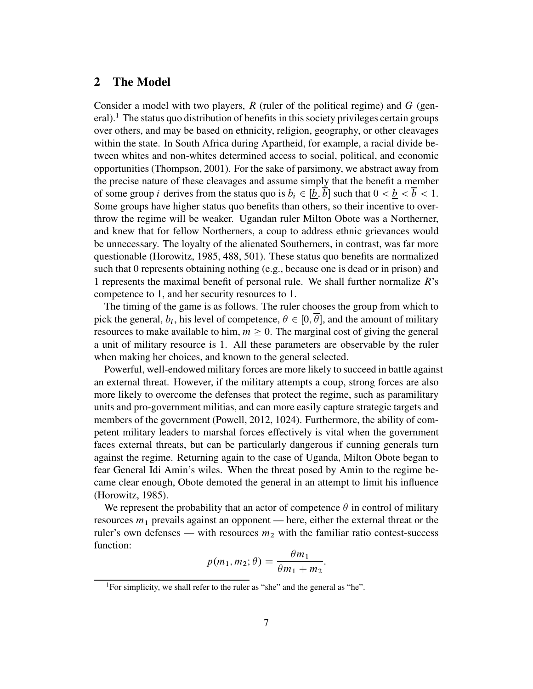# 2 The Model

Consider a model with two players, R (ruler of the political regime) and G (general).<sup>1</sup> The status quo distribution of benefits in this society privileges certain groups over others, and may be based on ethnicity, religion, geography, or other cleavages within the state. In South Africa during Apartheid, for example, a racial divide between whites and non-whites determined access to social, political, and economic opportunities (Thompson, 2001). For the sake of parsimony, we abstract away from the precise nature of these cleavages and assume simply that the benefit a member of some group *i* derives from the status quo is  $b_i \in [b, \overline{b}]$  such that  $0 < b < \overline{b} < 1$ . Some groups have higher status quo benefits than others, so their incentive to overthrow the regime will be weaker. Ugandan ruler Milton Obote was a Northerner, and knew that for fellow Northerners, a coup to address ethnic grievances would be unnecessary. The loyalty of the alienated Southerners, in contrast, was far more questionable (Horowitz, 1985, 488, 501). These status quo benefits are normalized such that 0 represents obtaining nothing (e.g., because one is dead or in prison) and 1 represents the maximal benefit of personal rule. We shall further normalize  $R$ 's competence to 1, and her security resources to 1.

The timing of the game is as follows. The ruler chooses the group from which to pick the general,  $b_i$ , his level of competence,  $\theta \in [0, \theta]$ , and the amount of military resources to make available to him,  $m > 0$ . The marginal cost of giving the general a unit of military resource is 1. All these parameters are observable by the ruler when making her choices, and known to the general selected.

Powerful, well-endowed military forces are more likely to succeed in battle against an external threat. However, if the military attempts a coup, strong forces are also more likely to overcome the defenses that protect the regime, such as paramilitary units and pro-government militias, and can more easily capture strategic targets and members of the government (Powell, 2012, 1024). Furthermore, the ability of competent military leaders to marshal forces effectively is vital when the government faces external threats, but can be particularly dangerous if cunning generals turn against the regime. Returning again to the case of Uganda, Milton Obote began to fear General Idi Amin's wiles. When the threat posed by Amin to the regime became clear enough, Obote demoted the general in an attempt to limit his influence (Horowitz, 1985).

We represent the probability that an actor of competence  $\theta$  in control of military resources  $m_1$  prevails against an opponent — here, either the external threat or the ruler's own defenses — with resources  $m_2$  with the familiar ratio contest-success function:

$$
p(m_1, m_2; \theta) = \frac{\theta m_1}{\theta m_1 + m_2}.
$$

<sup>&</sup>lt;sup>1</sup>For simplicity, we shall refer to the ruler as "she" and the general as "he".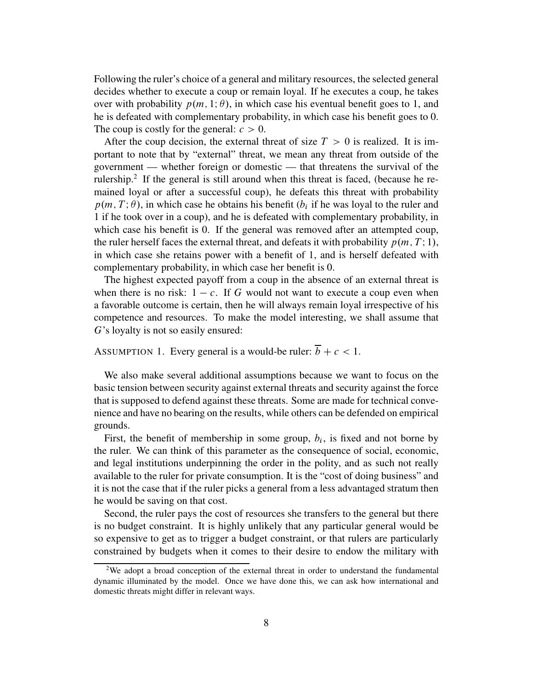Following the ruler's choice of a general and military resources, the selected general decides whether to execute a coup or remain loyal. If he executes a coup, he takes over with probability  $p(m, 1; \theta)$ , in which case his eventual benefit goes to 1, and he is defeated with complementary probability, in which case his benefit goes to 0. The coup is costly for the general:  $c > 0$ .

After the coup decision, the external threat of size  $T > 0$  is realized. It is important to note that by "external" threat, we mean any threat from outside of the government — whether foreign or domestic — that threatens the survival of the rulership.<sup>2</sup> If the general is still around when this threat is faced, (because he remained loyal or after a successful coup), he defeats this threat with probability  $p(m, T; \theta)$ , in which case he obtains his benefit (b<sub>i</sub> if he was loyal to the ruler and 1 if he took over in a coup), and he is defeated with complementary probability, in which case his benefit is 0. If the general was removed after an attempted coup, the ruler herself faces the external threat, and defeats it with probability  $p(m, T; 1)$ , in which case she retains power with a benefit of 1, and is herself defeated with complementary probability, in which case her benefit is 0.

The highest expected payoff from a coup in the absence of an external threat is when there is no risk:  $1 - c$ . If G would not want to execute a coup even when a favorable outcome is certain, then he will always remain loyal irrespective of his competence and resources. To make the model interesting, we shall assume that G's loyalty is not so easily ensured:

# ASSUMPTION 1. Every general is a would-be ruler:  $\overline{b} + c < 1$ .

We also make several additional assumptions because we want to focus on the basic tension between security against external threats and security against the force that is supposed to defend against these threats. Some are made for technical convenience and have no bearing on the results, while others can be defended on empirical grounds.

First, the benefit of membership in some group,  $b_i$ , is fixed and not borne by the ruler. We can think of this parameter as the consequence of social, economic, and legal institutions underpinning the order in the polity, and as such not really available to the ruler for private consumption. It is the "cost of doing business" and it is not the case that if the ruler picks a general from a less advantaged stratum then he would be saving on that cost.

Second, the ruler pays the cost of resources she transfers to the general but there is no budget constraint. It is highly unlikely that any particular general would be so expensive to get as to trigger a budget constraint, or that rulers are particularly constrained by budgets when it comes to their desire to endow the military with

<sup>&</sup>lt;sup>2</sup>We adopt a broad conception of the external threat in order to understand the fundamental dynamic illuminated by the model. Once we have done this, we can ask how international and domestic threats might differ in relevant ways.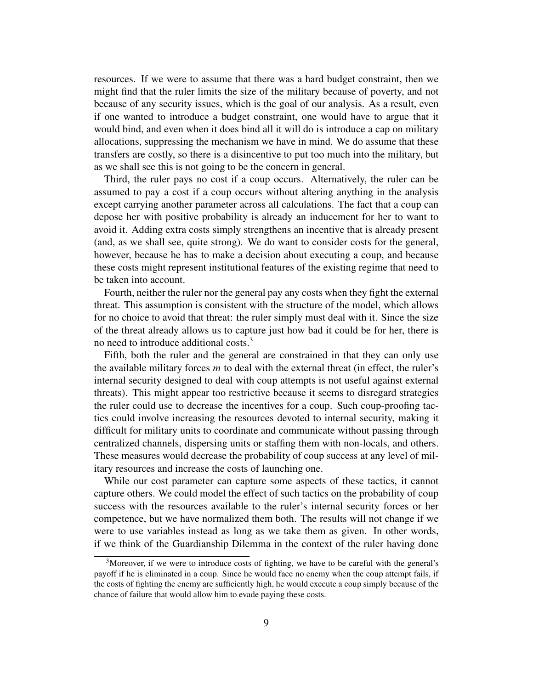resources. If we were to assume that there was a hard budget constraint, then we might find that the ruler limits the size of the military because of poverty, and not because of any security issues, which is the goal of our analysis. As a result, even if one wanted to introduce a budget constraint, one would have to argue that it would bind, and even when it does bind all it will do is introduce a cap on military allocations, suppressing the mechanism we have in mind. We do assume that these transfers are costly, so there is a disincentive to put too much into the military, but as we shall see this is not going to be the concern in general.

Third, the ruler pays no cost if a coup occurs. Alternatively, the ruler can be assumed to pay a cost if a coup occurs without altering anything in the analysis except carrying another parameter across all calculations. The fact that a coup can depose her with positive probability is already an inducement for her to want to avoid it. Adding extra costs simply strengthens an incentive that is already present (and, as we shall see, quite strong). We do want to consider costs for the general, however, because he has to make a decision about executing a coup, and because these costs might represent institutional features of the existing regime that need to be taken into account.

Fourth, neither the ruler nor the general pay any costs when they fight the external threat. This assumption is consistent with the structure of the model, which allows for no choice to avoid that threat: the ruler simply must deal with it. Since the size of the threat already allows us to capture just how bad it could be for her, there is no need to introduce additional costs.<sup>3</sup>

Fifth, both the ruler and the general are constrained in that they can only use the available military forces  $m$  to deal with the external threat (in effect, the ruler's internal security designed to deal with coup attempts is not useful against external threats). This might appear too restrictive because it seems to disregard strategies the ruler could use to decrease the incentives for a coup. Such coup-proofing tactics could involve increasing the resources devoted to internal security, making it difficult for military units to coordinate and communicate without passing through centralized channels, dispersing units or staffing them with non-locals, and others. These measures would decrease the probability of coup success at any level of military resources and increase the costs of launching one.

While our cost parameter can capture some aspects of these tactics, it cannot capture others. We could model the effect of such tactics on the probability of coup success with the resources available to the ruler's internal security forces or her competence, but we have normalized them both. The results will not change if we were to use variables instead as long as we take them as given. In other words, if we think of the Guardianship Dilemma in the context of the ruler having done

<sup>&</sup>lt;sup>3</sup>Moreover, if we were to introduce costs of fighting, we have to be careful with the general's payoff if he is eliminated in a coup. Since he would face no enemy when the coup attempt fails, if the costs of fighting the enemy are sufficiently high, he would execute a coup simply because of the chance of failure that would allow him to evade paying these costs.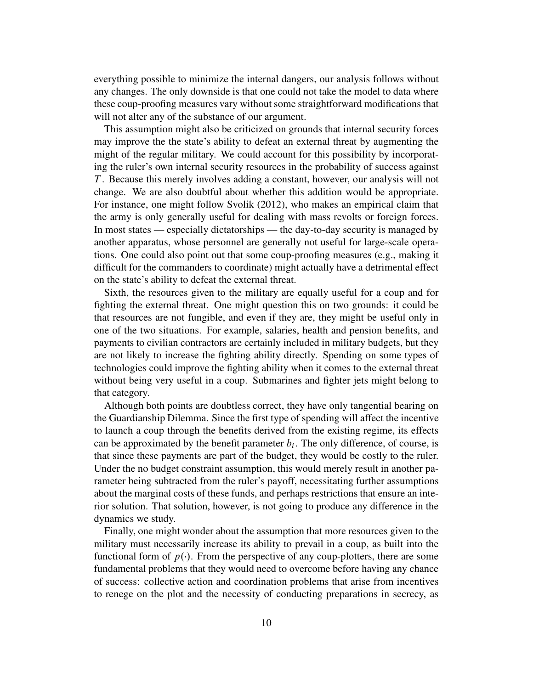everything possible to minimize the internal dangers, our analysis follows without any changes. The only downside is that one could not take the model to data where these coup-proofing measures vary without some straightforward modifications that will not alter any of the substance of our argument.

This assumption might also be criticized on grounds that internal security forces may improve the the state's ability to defeat an external threat by augmenting the might of the regular military. We could account for this possibility by incorporating the ruler's own internal security resources in the probability of success against T. Because this merely involves adding a constant, however, our analysis will not change. We are also doubtful about whether this addition would be appropriate. For instance, one might follow Svolik (2012), who makes an empirical claim that the army is only generally useful for dealing with mass revolts or foreign forces. In most states — especially dictatorships — the day-to-day security is managed by another apparatus, whose personnel are generally not useful for large-scale operations. One could also point out that some coup-proofing measures (e.g., making it difficult for the commanders to coordinate) might actually have a detrimental effect on the state's ability to defeat the external threat.

Sixth, the resources given to the military are equally useful for a coup and for fighting the external threat. One might question this on two grounds: it could be that resources are not fungible, and even if they are, they might be useful only in one of the two situations. For example, salaries, health and pension benefits, and payments to civilian contractors are certainly included in military budgets, but they are not likely to increase the fighting ability directly. Spending on some types of technologies could improve the fighting ability when it comes to the external threat without being very useful in a coup. Submarines and fighter jets might belong to that category.

Although both points are doubtless correct, they have only tangential bearing on the Guardianship Dilemma. Since the first type of spending will affect the incentive to launch a coup through the benefits derived from the existing regime, its effects can be approximated by the benefit parameter  $b_i$ . The only difference, of course, is that since these payments are part of the budget, they would be costly to the ruler. Under the no budget constraint assumption, this would merely result in another parameter being subtracted from the ruler's payoff, necessitating further assumptions about the marginal costs of these funds, and perhaps restrictions that ensure an interior solution. That solution, however, is not going to produce any difference in the dynamics we study.

Finally, one might wonder about the assumption that more resources given to the military must necessarily increase its ability to prevail in a coup, as built into the functional form of  $p(.)$ . From the perspective of any coup-plotters, there are some fundamental problems that they would need to overcome before having any chance of success: collective action and coordination problems that arise from incentives to renege on the plot and the necessity of conducting preparations in secrecy, as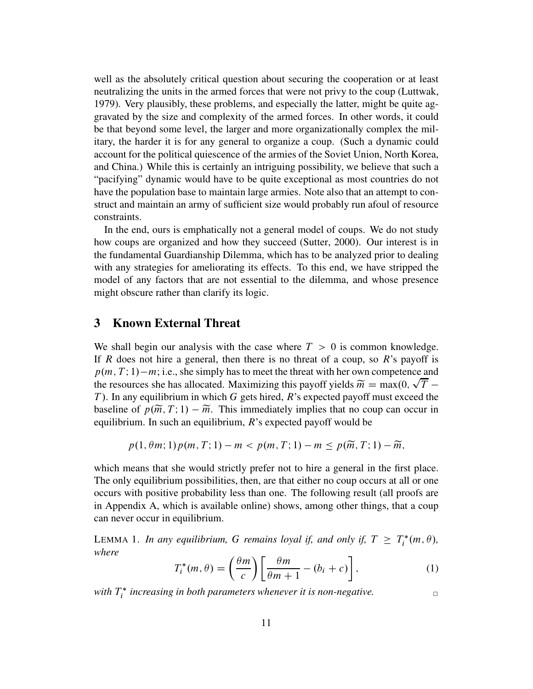well as the absolutely critical question about securing the cooperation or at least neutralizing the units in the armed forces that were not privy to the coup (Luttwak, 1979). Very plausibly, these problems, and especially the latter, might be quite aggravated by the size and complexity of the armed forces. In other words, it could be that beyond some level, the larger and more organizationally complex the military, the harder it is for any general to organize a coup. (Such a dynamic could account for the political quiescence of the armies of the Soviet Union, North Korea, and China.) While this is certainly an intriguing possibility, we believe that such a "pacifying" dynamic would have to be quite exceptional as most countries do not have the population base to maintain large armies. Note also that an attempt to construct and maintain an army of sufficient size would probably run afoul of resource constraints.

In the end, ours is emphatically not a general model of coups. We do not study how coups are organized and how they succeed (Sutter, 2000). Our interest is in the fundamental Guardianship Dilemma, which has to be analyzed prior to dealing with any strategies for ameliorating its effects. To this end, we have stripped the model of any factors that are not essential to the dilemma, and whose presence might obscure rather than clarify its logic.

# 3 Known External Threat

We shall begin our analysis with the case where  $T > 0$  is common knowledge. If R does not hire a general, then there is no threat of a coup, so  $\mathbb{R}^3$  payoff is  $p(m, T; 1)$  – m; i.e., she simply has to meet the threat with her own competence and the resources she has allocated. Maximizing this payoff yields  $\widetilde{m} = \max(0, \sqrt{T - \frac{1}{n}})$ T). In any equilibrium in which G gets hired,  $R$ 's expected payoff must exceed the baseline of  $p(\widetilde{m}, T; 1) - \widetilde{m}$ . This immediately implies that no coup can occur in equilibrium. In such an equilibrium,  $R$ 's expected payoff would be

$$
p(1, \theta m; 1)p(m, T; 1) - m < p(m, T; 1) - m \le p(\widetilde{m}, T; 1) - \widetilde{m},
$$

which means that she would strictly prefer not to hire a general in the first place. The only equilibrium possibilities, then, are that either no coup occurs at all or one occurs with positive probability less than one. The following result (all proofs are in Appendix A, which is available online) shows, among other things, that a coup can never occur in equilibrium.

LEMMA 1. *In any equilibrium,* G *remains loyal if, and only if,*  $T \geq T_i^*(m, \theta)$ , *where*

$$
T_i^*(m,\theta) = \left(\frac{\theta m}{c}\right) \left[\frac{\theta m}{\theta m + 1} - (b_i + c)\right],\tag{1}
$$

with  $T_i^*$  increasing in both parameters whenever it is non-negative.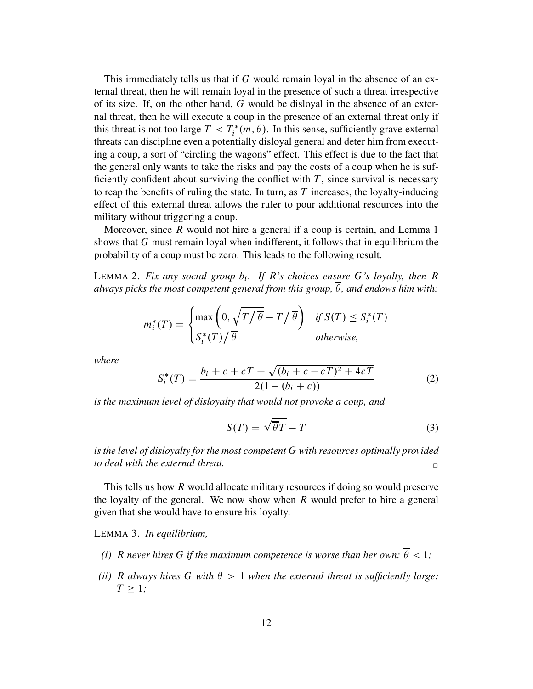This immediately tells us that if  $G$  would remain loyal in the absence of an external threat, then he will remain loyal in the presence of such a threat irrespective of its size. If, on the other hand, G would be disloyal in the absence of an external threat, then he will execute a coup in the presence of an external threat only if this threat is not too large  $T < T_i^*(m, \theta)$ . In this sense, sufficiently grave external threats can discipline even a potentially disloyal general and deter him from executing a coup, a sort of "circling the wagons" effect. This effect is due to the fact that the general only wants to take the risks and pay the costs of a coup when he is sufficiently confident about surviving the conflict with  $T$ , since survival is necessary to reap the benefits of ruling the state. In turn, as  $T$  increases, the loyalty-inducing effect of this external threat allows the ruler to pour additional resources into the military without triggering a coup.

Moreover, since  $R$  would not hire a general if a coup is certain, and Lemma 1 shows that  $G$  must remain loyal when indifferent, it follows that in equilibrium the probability of a coup must be zero. This leads to the following result.

LEMMA 2. *Fix any social group* bi*. If* R*'s choices ensure* G*'s loyalty, then* R *always picks the most competent general from this group,*  $\overline{\theta}$ *, and endows him with:* 

$$
m_i^*(T) = \begin{cases} \max\left(0, \sqrt{T/\overline{\theta}} - T/\overline{\theta}\right) & \text{if } S(T) \le S_i^*(T) \\ S_i^*(T)/\overline{\theta} & \text{otherwise,} \end{cases}
$$

*where*

$$
S_i^*(T) = \frac{b_i + c + cT + \sqrt{(b_i + c - cT)^2 + 4cT}}{2(1 - (b_i + c))}
$$
(2)

*is the maximum level of disloyalty that would not provoke a coup, and*

$$
S(T) = \sqrt{\overline{\theta}T} - T \tag{3}
$$

*is the level of disloyalty for the most competent* G *with resources optimally provided to deal with the external threat.*  $\Box$ 

This tells us how R would allocate military resources if doing so would preserve the loyalty of the general. We now show when  $R$  would prefer to hire a general given that she would have to ensure his loyalty.

LEMMA 3. *In equilibrium,*

- *(i)* R never hires G if the maximum competence is worse than her own:  $\theta$  < 1;
- *(ii)* R always hires G with  $\overline{\theta} > 1$  when the external threat is sufficiently large:  $T \geq 1;$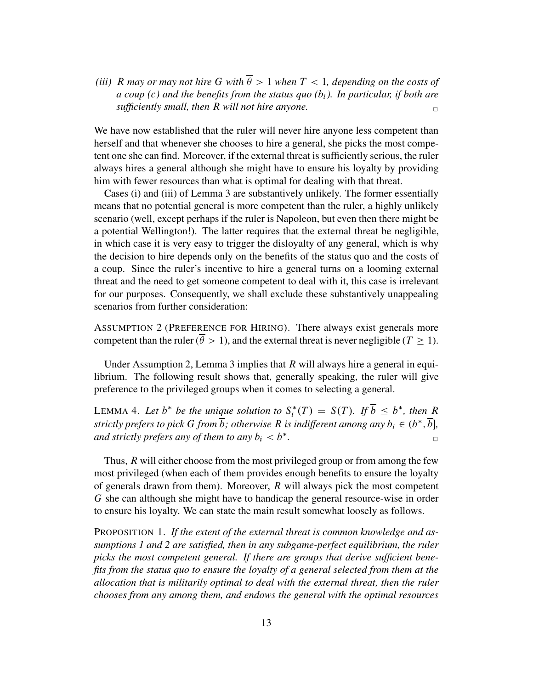*(iii)* R may or may not hire G with  $\overline{\theta} > 1$  when  $T < 1$ , depending on the costs of *a coup (c) and the benefits from the status quo*  $(b_i)$ *. In particular, if both are sufficiently small, then* R *will not hire anyone.* ✷

We have now established that the ruler will never hire anyone less competent than herself and that whenever she chooses to hire a general, she picks the most competent one she can find. Moreover, if the external threat is sufficiently serious, the ruler always hires a general although she might have to ensure his loyalty by providing him with fewer resources than what is optimal for dealing with that threat.

Cases (i) and (iii) of Lemma 3 are substantively unlikely. The former essentially means that no potential general is more competent than the ruler, a highly unlikely scenario (well, except perhaps if the ruler is Napoleon, but even then there might be a potential Wellington!). The latter requires that the external threat be negligible, in which case it is very easy to trigger the disloyalty of any general, which is why the decision to hire depends only on the benefits of the status quo and the costs of a coup. Since the ruler's incentive to hire a general turns on a looming external threat and the need to get someone competent to deal with it, this case is irrelevant for our purposes. Consequently, we shall exclude these substantively unappealing scenarios from further consideration:

ASSUMPTION 2 (PREFERENCE FOR HIRING). There always exist generals more competent than the ruler ( $\overline{\theta} > 1$ ), and the external threat is never negligible ( $T \ge 1$ ).

Under Assumption 2, Lemma 3 implies that  $R$  will always hire a general in equilibrium. The following result shows that, generally speaking, the ruler will give preference to the privileged groups when it comes to selecting a general.

LEMMA 4. Let  $b^*$  be the unique solution to  $S_i^*(T) = S(T)$ . If  $\overline{b} \leq b^*$ , then R *strictly prefers to pick* G *from*  $\overline{b}$ *; otherwise* R *is indifferent among any*  $b_i \in (b^*, \overline{b}]$ *, and strictly prefers any of them to any*  $b_i < b^*$ .

Thus,  $R$  will either choose from the most privileged group or from among the few most privileged (when each of them provides enough benefits to ensure the loyalty of generals drawn from them). Moreover,  $R$  will always pick the most competent G she can although she might have to handicap the general resource-wise in order to ensure his loyalty. We can state the main result somewhat loosely as follows.

PROPOSITION 1. *If the extent of the external threat is common knowledge and assumptions 1 and 2 are satisfied, then in any subgame-perfect equilibrium, the ruler picks the most competent general. If there are groups that derive sufficient benefits from the status quo to ensure the loyalty of a general selected from them at the allocation that is militarily optimal to deal with the external threat, then the ruler chooses from any among them, and endows the general with the optimal resources*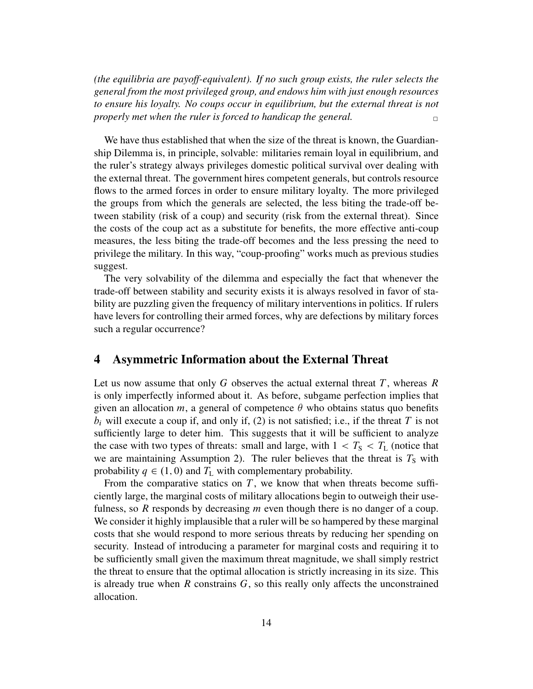*(the equilibria are payoff-equivalent). If no such group exists, the ruler selects the general from the most privileged group, and endows him with just enough resources to ensure his loyalty. No coups occur in equilibrium, but the external threat is not properly met when the ruler is forced to handicap the general.* ✷

We have thus established that when the size of the threat is known, the Guardianship Dilemma is, in principle, solvable: militaries remain loyal in equilibrium, and the ruler's strategy always privileges domestic political survival over dealing with the external threat. The government hires competent generals, but controls resource flows to the armed forces in order to ensure military loyalty. The more privileged the groups from which the generals are selected, the less biting the trade-off between stability (risk of a coup) and security (risk from the external threat). Since the costs of the coup act as a substitute for benefits, the more effective anti-coup measures, the less biting the trade-off becomes and the less pressing the need to privilege the military. In this way, "coup-proofing" works much as previous studies suggest.

The very solvability of the dilemma and especially the fact that whenever the trade-off between stability and security exists it is always resolved in favor of stability are puzzling given the frequency of military interventions in politics. If rulers have levers for controlling their armed forces, why are defections by military forces such a regular occurrence?

# 4 Asymmetric Information about the External Threat

Let us now assume that only G observes the actual external threat  $T$ , whereas  $R$ is only imperfectly informed about it. As before, subgame perfection implies that given an allocation m, a general of competence  $\theta$  who obtains status quo benefits  $b_i$  will execute a coup if, and only if, (2) is not satisfied; i.e., if the threat T is not sufficiently large to deter him. This suggests that it will be sufficient to analyze the case with two types of threats: small and large, with  $1 < T<sub>S</sub> < T<sub>L</sub>$  (notice that we are maintaining Assumption 2). The ruler believes that the threat is  $T<sub>S</sub>$  with probability  $q \in (1, 0)$  and  $T<sub>L</sub>$  with complementary probability.

From the comparative statics on  $T$ , we know that when threats become sufficiently large, the marginal costs of military allocations begin to outweigh their usefulness, so  $R$  responds by decreasing  $m$  even though there is no danger of a coup. We consider it highly implausible that a ruler will be so hampered by these marginal costs that she would respond to more serious threats by reducing her spending on security. Instead of introducing a parameter for marginal costs and requiring it to be sufficiently small given the maximum threat magnitude, we shall simply restrict the threat to ensure that the optimal allocation is strictly increasing in its size. This is already true when  $R$  constrains  $G$ , so this really only affects the unconstrained allocation.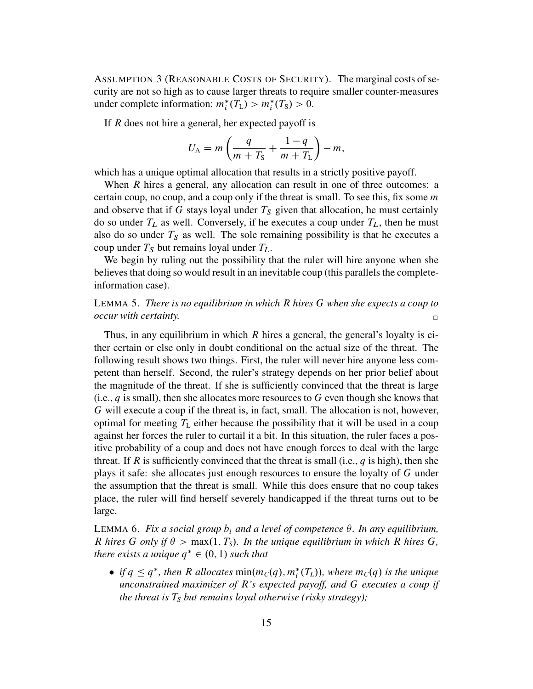ASSUMPTION 3 (REASONABLE COSTS OF SECURITY). The marginal costs of security are not so high as to cause larger threats to require smaller counter-measures under complete information:  $m_i^*(T_L) > m_i^*(T_S) > 0$ .

If R does not hire a general, her expected payoff is

$$
U_{A} = m\left(\frac{q}{m+T_{S}} + \frac{1-q}{m+T_{L}}\right) - m,
$$

which has a unique optimal allocation that results in a strictly positive payoff.

When R hires a general, any allocation can result in one of three outcomes: a certain coup, no coup, and a coup only if the threat is small. To see this, fix some  $m$ and observe that if G stays loyal under  $T<sub>S</sub>$  given that allocation, he must certainly do so under  $T_L$  as well. Conversely, if he executes a coup under  $T_L$ , then he must also do so under  $T<sub>S</sub>$  as well. The sole remaining possibility is that he executes a coup under  $T<sub>S</sub>$  but remains loyal under  $T<sub>L</sub>$ .

We begin by ruling out the possibility that the ruler will hire anyone when she believes that doing so would result in an inevitable coup (this parallels the completeinformation case).

LEMMA 5. *There is no equilibrium in which* R *hires* G *when she expects a coup to occur with certainty.* 

Thus, in any equilibrium in which R hires a general, the general's loyalty is either certain or else only in doubt conditional on the actual size of the threat. The following result shows two things. First, the ruler will never hire anyone less competent than herself. Second, the ruler's strategy depends on her prior belief about the magnitude of the threat. If she is sufficiently convinced that the threat is large  $(i.e., q is small)$ , then she allocates more resources to G even though she knows that G will execute a coup if the threat is, in fact, small. The allocation is not, however, optimal for meeting  $T<sub>L</sub>$  either because the possibility that it will be used in a coup against her forces the ruler to curtail it a bit. In this situation, the ruler faces a positive probability of a coup and does not have enough forces to deal with the large threat. If R is sufficiently convinced that the threat is small (i.e.,  $q$  is high), then she plays it safe: she allocates just enough resources to ensure the loyalty of G under the assumption that the threat is small. While this does ensure that no coup takes place, the ruler will find herself severely handicapped if the threat turns out to be large.

LEMMA 6. Fix a social group  $b_i$  and a level of competence  $\theta$ . In any equilibrium, R hires G only if  $\theta > \max(1, T_s)$ . In the unique equilibrium in which R hires G, *there exists a unique*  $q^* \in (0, 1)$  *such that* 

• *if*  $q \leq q^*$ , then R allocates min $(m_C(q), m_i^*(T_L))$ , where  $m_C(q)$  is the unique *unconstrained maximizer of* R*'s expected payoff, and* G *executes a coup if the threat is*  $T_s$  *but remains loyal otherwise (risky strategy);*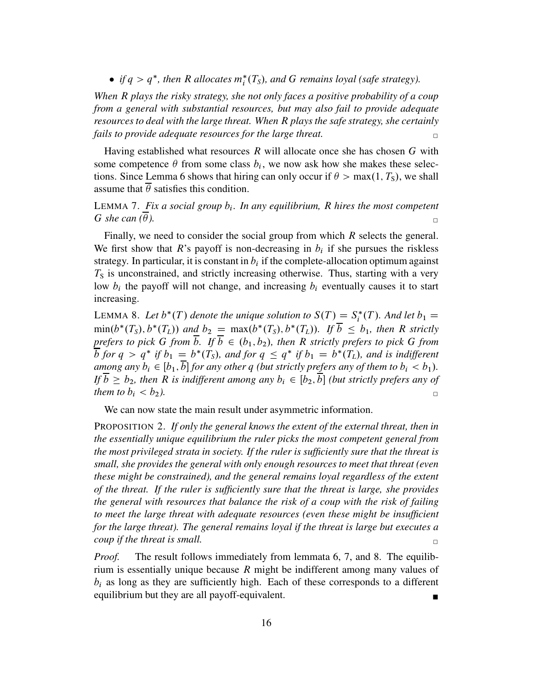• *if*  $q > q^*$ , then R allocates  $m_i^*(T_s)$ , and G remains loyal (safe strategy).

*When* R *plays the risky strategy, she not only faces a positive probability of a coup from a general with substantial resources, but may also fail to provide adequate resources to deal with the large threat. When* R *plays the safe strategy, she certainly fails to provide adequate resources for the large threat.*  $\Box$ 

Having established what resources  $R$  will allocate once she has chosen  $G$  with some competence  $\theta$  from some class  $b_i$ , we now ask how she makes these selections. Since Lemma 6 shows that hiring can only occur if  $\theta > \max(1, T_s)$ , we shall assume that  $\overline{\theta}$  satisfies this condition.

LEMMA 7. *Fix a social group*  $b_i$ . In any equilibrium, R hires the most competent G she can  $(\theta)$ .

Finally, we need to consider the social group from which R selects the general. We first show that R's payoff is non-decreasing in  $b_i$  if she pursues the riskless strategy. In particular, it is constant in  $b_i$  if the complete-allocation optimum against  $T<sub>S</sub>$  is unconstrained, and strictly increasing otherwise. Thus, starting with a very low  $b_i$  the payoff will not change, and increasing  $b_i$  eventually causes it to start increasing.

LEMMA 8. Let  $b^*(T)$  denote the unique solution to  $S(T) = S^*_i(T)$ . And let  $b_1 =$  $\min(b^*(T_S), b^*(T_L))$  and  $b_2 = \max(b^*(T_S), b^*(T_L))$ . If  $\overline{b} \leq b_1$ , then R strictly *prefers to pick* G *from*  $\overline{b}$ *. If*  $\overline{b} \in (b_1, b_2)$ *, then* R *strictly prefers to pick* G *from*  $\overline{b}$  *for*  $q > q^*$  *if*  $b_1 = b^*(T_S)$ *, and for*  $q \leq q^*$  *if*  $b_1 = b^*(T_L)$ *, and is indifferent among any*  $b_i \in [b_1, \overline{b}]$  *for any other q (but strictly prefers any of them to*  $b_i < b_1$ ). *If*  $b \ge b_2$ , then R is indifferent among any  $b_i \in [b_2, b]$  *(but strictly prefers any of them to*  $b_i < b_2$ *).* 

We can now state the main result under asymmetric information.

PROPOSITION 2. *If only the general knows the extent of the external threat, then in the essentially unique equilibrium the ruler picks the most competent general from the most privileged strata in society. If the ruler is sufficiently sure that the threat is small, she provides the general with only enough resources to meet that threat (even these might be constrained), and the general remains loyal regardless of the extent of the threat. If the ruler is sufficiently sure that the threat is large, she provides the general with resources that balance the risk of a coup with the risk of failing to meet the large threat with adequate resources (even these might be insufficient for the large threat). The general remains loyal if the threat is large but executes a coup if the threat is small.*  $\Box$ 

*Proof.* The result follows immediately from lemmata 6, 7, and 8. The equilibrium is essentially unique because  $R$  might be indifferent among many values of  $b_i$  as long as they are sufficiently high. Each of these corresponds to a different equilibrium but they are all payoff-equivalent.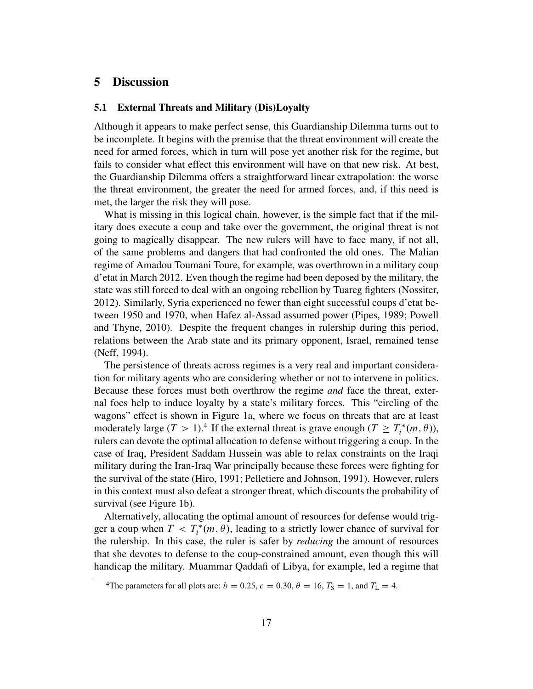### 5 Discussion

#### 5.1 External Threats and Military (Dis)Loyalty

Although it appears to make perfect sense, this Guardianship Dilemma turns out to be incomplete. It begins with the premise that the threat environment will create the need for armed forces, which in turn will pose yet another risk for the regime, but fails to consider what effect this environment will have on that new risk. At best, the Guardianship Dilemma offers a straightforward linear extrapolation: the worse the threat environment, the greater the need for armed forces, and, if this need is met, the larger the risk they will pose.

What is missing in this logical chain, however, is the simple fact that if the military does execute a coup and take over the government, the original threat is not going to magically disappear. The new rulers will have to face many, if not all, of the same problems and dangers that had confronted the old ones. The Malian regime of Amadou Toumani Toure, for example, was overthrown in a military coup d'etat in March 2012. Even though the regime had been deposed by the military, the state was still forced to deal with an ongoing rebellion by Tuareg fighters (Nossiter, 2012). Similarly, Syria experienced no fewer than eight successful coups d'etat between 1950 and 1970, when Hafez al-Assad assumed power (Pipes, 1989; Powell and Thyne, 2010). Despite the frequent changes in rulership during this period, relations between the Arab state and its primary opponent, Israel, remained tense (Neff, 1994).

The persistence of threats across regimes is a very real and important consideration for military agents who are considering whether or not to intervene in politics. Because these forces must both overthrow the regime *and* face the threat, external foes help to induce loyalty by a state's military forces. This "circling of the wagons" effect is shown in Figure 1a, where we focus on threats that are at least moderately large  $(T > 1)$ .<sup>4</sup> If the external threat is grave enough  $(T \geq T_i^*(m, \theta))$ , rulers can devote the optimal allocation to defense without triggering a coup. In the case of Iraq, President Saddam Hussein was able to relax constraints on the Iraqi military during the Iran-Iraq War principally because these forces were fighting for the survival of the state (Hiro, 1991; Pelletiere and Johnson, 1991). However, rulers in this context must also defeat a stronger threat, which discounts the probability of survival (see Figure 1b).

Alternatively, allocating the optimal amount of resources for defense would trigger a coup when  $T < T_i^*(m, \theta)$ , leading to a strictly lower chance of survival for the rulership. In this case, the ruler is safer by *reducing* the amount of resources that she devotes to defense to the coup-constrained amount, even though this will handicap the military. Muammar Qaddafi of Libya, for example, led a regime that

<sup>&</sup>lt;sup>4</sup>The parameters for all plots are:  $b = 0.25$ ,  $c = 0.30$ ,  $\theta = 16$ ,  $T_s = 1$ , and  $T_l = 4$ .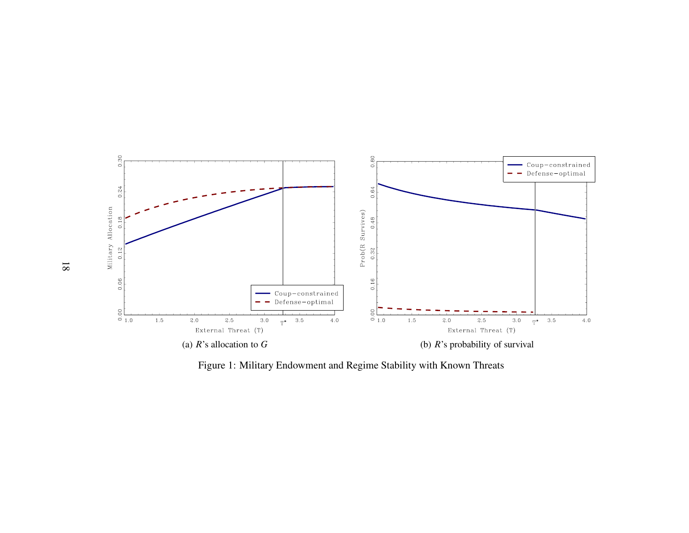

Figure 1: Military Endowment and Regime Stability with Known Threats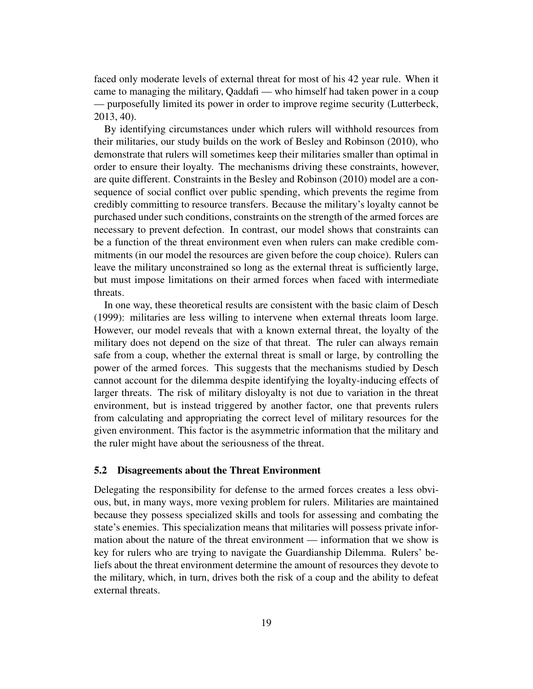faced only moderate levels of external threat for most of his 42 year rule. When it came to managing the military, Qaddafi — who himself had taken power in a coup — purposefully limited its power in order to improve regime security (Lutterbeck, 2013, 40).

By identifying circumstances under which rulers will withhold resources from their militaries, our study builds on the work of Besley and Robinson (2010), who demonstrate that rulers will sometimes keep their militaries smaller than optimal in order to ensure their loyalty. The mechanisms driving these constraints, however, are quite different. Constraints in the Besley and Robinson (2010) model are a consequence of social conflict over public spending, which prevents the regime from credibly committing to resource transfers. Because the military's loyalty cannot be purchased under such conditions, constraints on the strength of the armed forces are necessary to prevent defection. In contrast, our model shows that constraints can be a function of the threat environment even when rulers can make credible commitments (in our model the resources are given before the coup choice). Rulers can leave the military unconstrained so long as the external threat is sufficiently large, but must impose limitations on their armed forces when faced with intermediate threats.

In one way, these theoretical results are consistent with the basic claim of Desch (1999): militaries are less willing to intervene when external threats loom large. However, our model reveals that with a known external threat, the loyalty of the military does not depend on the size of that threat. The ruler can always remain safe from a coup, whether the external threat is small or large, by controlling the power of the armed forces. This suggests that the mechanisms studied by Desch cannot account for the dilemma despite identifying the loyalty-inducing effects of larger threats. The risk of military disloyalty is not due to variation in the threat environment, but is instead triggered by another factor, one that prevents rulers from calculating and appropriating the correct level of military resources for the given environment. This factor is the asymmetric information that the military and the ruler might have about the seriousness of the threat.

#### 5.2 Disagreements about the Threat Environment

Delegating the responsibility for defense to the armed forces creates a less obvious, but, in many ways, more vexing problem for rulers. Militaries are maintained because they possess specialized skills and tools for assessing and combating the state's enemies. This specialization means that militaries will possess private information about the nature of the threat environment — information that we show is key for rulers who are trying to navigate the Guardianship Dilemma. Rulers' beliefs about the threat environment determine the amount of resources they devote to the military, which, in turn, drives both the risk of a coup and the ability to defeat external threats.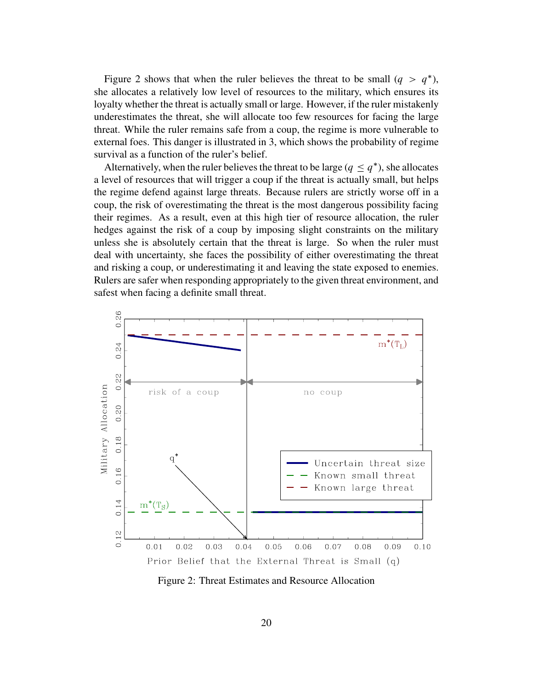Figure 2 shows that when the ruler believes the threat to be small  $(q>q^*)$ , she allocates a relatively low level of resources to the military, which ensures its loyalty whether the threat is actually small or large. However, if the ruler mistakenly underestimates the threat, she will allocate too few resources for facing the large threat. While the ruler remains safe from a coup, the regime is more vulnerable to external foes. This danger is illustrated in 3, which shows the probability of regime survival as a function of the ruler's belief.

Alternatively, when the ruler believes the threat to be large ( $q \leq q^*$ ), she allocates a level of resources that will trigger a coup if the threat is actually small, but helps the regime defend against large threats. Because rulers are strictly worse off in a coup, the risk of overestimating the threat is the most dangerous possibility facing their regimes. As a result, even at this high tier of resource allocation, the ruler hedges against the risk of a coup by imposing slight constraints on the military unless she is absolutely certain that the threat is large. So when the ruler must deal with uncertainty, she faces the possibility of either overestimating the threat and risking a coup, or underestimating it and leaving the state exposed to enemies. Rulers are safer when responding appropriately to the given threat environment, and safest when facing a definite small threat.



Figure 2: Threat Estimates and Resource Allocation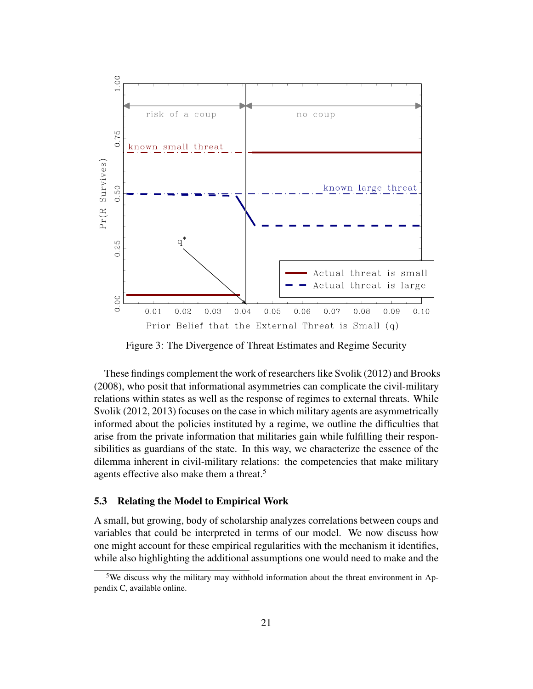

Figure 3: The Divergence of Threat Estimates and Regime Security

These findings complement the work of researchers like Svolik (2012) and Brooks (2008), who posit that informational asymmetries can complicate the civil-military relations within states as well as the response of regimes to external threats. While Svolik (2012, 2013) focuses on the case in which military agents are asymmetrically informed about the policies instituted by a regime, we outline the difficulties that arise from the private information that militaries gain while fulfilling their responsibilities as guardians of the state. In this way, we characterize the essence of the dilemma inherent in civil-military relations: the competencies that make military agents effective also make them a threat.<sup>5</sup>

#### 5.3 Relating the Model to Empirical Work

A small, but growing, body of scholarship analyzes correlations between coups and variables that could be interpreted in terms of our model. We now discuss how one might account for these empirical regularities with the mechanism it identifies, while also highlighting the additional assumptions one would need to make and the

<sup>&</sup>lt;sup>5</sup>We discuss why the military may withhold information about the threat environment in Appendix C, available online.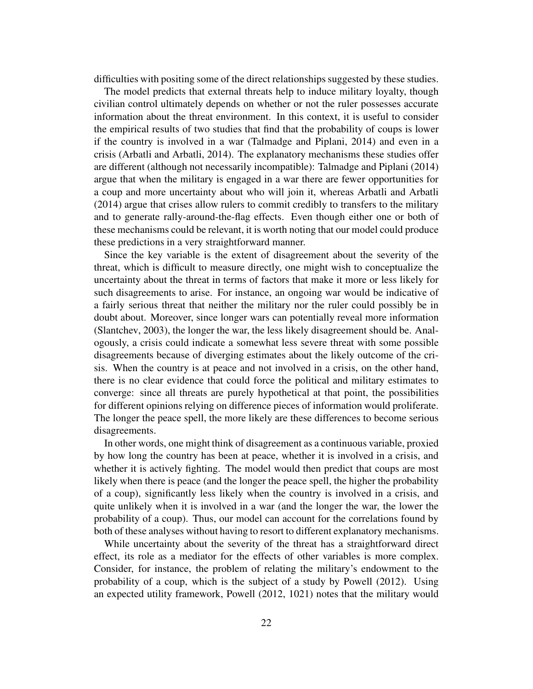difficulties with positing some of the direct relationships suggested by these studies.

The model predicts that external threats help to induce military loyalty, though civilian control ultimately depends on whether or not the ruler possesses accurate information about the threat environment. In this context, it is useful to consider the empirical results of two studies that find that the probability of coups is lower if the country is involved in a war (Talmadge and Piplani, 2014) and even in a crisis (Arbatli and Arbatli, 2014). The explanatory mechanisms these studies offer are different (although not necessarily incompatible): Talmadge and Piplani (2014) argue that when the military is engaged in a war there are fewer opportunities for a coup and more uncertainty about who will join it, whereas Arbatli and Arbatli (2014) argue that crises allow rulers to commit credibly to transfers to the military and to generate rally-around-the-flag effects. Even though either one or both of these mechanisms could be relevant, it is worth noting that our model could produce these predictions in a very straightforward manner.

Since the key variable is the extent of disagreement about the severity of the threat, which is difficult to measure directly, one might wish to conceptualize the uncertainty about the threat in terms of factors that make it more or less likely for such disagreements to arise. For instance, an ongoing war would be indicative of a fairly serious threat that neither the military nor the ruler could possibly be in doubt about. Moreover, since longer wars can potentially reveal more information (Slantchev, 2003), the longer the war, the less likely disagreement should be. Analogously, a crisis could indicate a somewhat less severe threat with some possible disagreements because of diverging estimates about the likely outcome of the crisis. When the country is at peace and not involved in a crisis, on the other hand, there is no clear evidence that could force the political and military estimates to converge: since all threats are purely hypothetical at that point, the possibilities for different opinions relying on difference pieces of information would proliferate. The longer the peace spell, the more likely are these differences to become serious disagreements.

In other words, one might think of disagreement as a continuous variable, proxied by how long the country has been at peace, whether it is involved in a crisis, and whether it is actively fighting. The model would then predict that coups are most likely when there is peace (and the longer the peace spell, the higher the probability of a coup), significantly less likely when the country is involved in a crisis, and quite unlikely when it is involved in a war (and the longer the war, the lower the probability of a coup). Thus, our model can account for the correlations found by both of these analyses without having to resort to different explanatory mechanisms.

While uncertainty about the severity of the threat has a straightforward direct effect, its role as a mediator for the effects of other variables is more complex. Consider, for instance, the problem of relating the military's endowment to the probability of a coup, which is the subject of a study by Powell (2012). Using an expected utility framework, Powell (2012, 1021) notes that the military would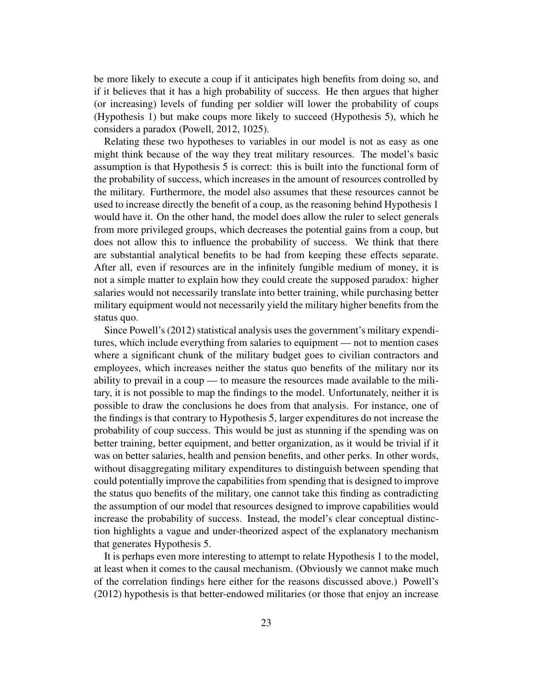be more likely to execute a coup if it anticipates high benefits from doing so, and if it believes that it has a high probability of success. He then argues that higher (or increasing) levels of funding per soldier will lower the probability of coups (Hypothesis 1) but make coups more likely to succeed (Hypothesis 5), which he considers a paradox (Powell, 2012, 1025).

Relating these two hypotheses to variables in our model is not as easy as one might think because of the way they treat military resources. The model's basic assumption is that Hypothesis 5 is correct: this is built into the functional form of the probability of success, which increases in the amount of resources controlled by the military. Furthermore, the model also assumes that these resources cannot be used to increase directly the benefit of a coup, as the reasoning behind Hypothesis 1 would have it. On the other hand, the model does allow the ruler to select generals from more privileged groups, which decreases the potential gains from a coup, but does not allow this to influence the probability of success. We think that there are substantial analytical benefits to be had from keeping these effects separate. After all, even if resources are in the infinitely fungible medium of money, it is not a simple matter to explain how they could create the supposed paradox: higher salaries would not necessarily translate into better training, while purchasing better military equipment would not necessarily yield the military higher benefits from the status quo.

Since Powell's (2012) statistical analysis uses the government's military expenditures, which include everything from salaries to equipment — not to mention cases where a significant chunk of the military budget goes to civilian contractors and employees, which increases neither the status quo benefits of the military nor its ability to prevail in a coup — to measure the resources made available to the military, it is not possible to map the findings to the model. Unfortunately, neither it is possible to draw the conclusions he does from that analysis. For instance, one of the findings is that contrary to Hypothesis 5, larger expenditures do not increase the probability of coup success. This would be just as stunning if the spending was on better training, better equipment, and better organization, as it would be trivial if it was on better salaries, health and pension benefits, and other perks. In other words, without disaggregating military expenditures to distinguish between spending that could potentially improve the capabilities from spending that is designed to improve the status quo benefits of the military, one cannot take this finding as contradicting the assumption of our model that resources designed to improve capabilities would increase the probability of success. Instead, the model's clear conceptual distinction highlights a vague and under-theorized aspect of the explanatory mechanism that generates Hypothesis 5.

It is perhaps even more interesting to attempt to relate Hypothesis 1 to the model, at least when it comes to the causal mechanism. (Obviously we cannot make much of the correlation findings here either for the reasons discussed above.) Powell's (2012) hypothesis is that better-endowed militaries (or those that enjoy an increase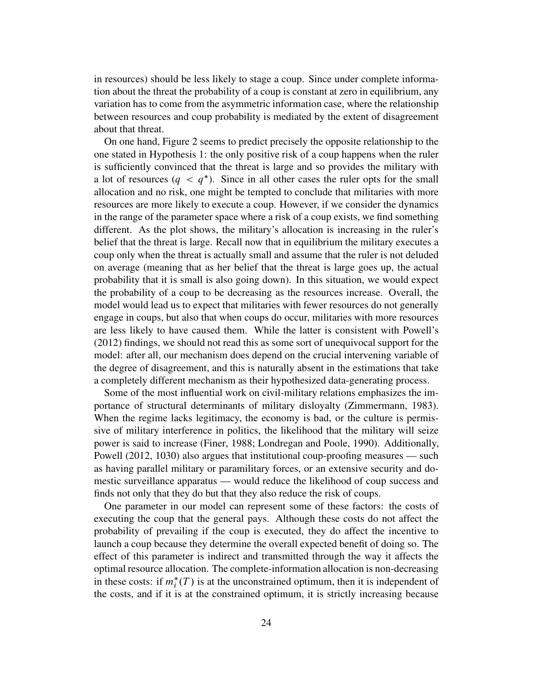in resources) should be less likely to stage a coup. Since under complete information about the threat the probability of a coup is constant at zero in equilibrium, any variation has to come from the asymmetric information case, where the relationship between resources and coup probability is mediated by the extent of disagreement about that threat.

On one hand, Figure 2 seems to predict precisely the opposite relationship to the one stated in Hypothesis 1: the only positive risk of a coup happens when the ruler is sufficiently convinced that the threat is large and so provides the military with a lot of resources  $(q < q^*)$ . Since in all other cases the ruler opts for the small allocation and no risk, one might be tempted to conclude that militaries with more resources are more likely to execute a coup. However, if we consider the dynamics in the range of the parameter space where a risk of a coup exists, we find something different. As the plot shows, the military's allocation is increasing in the ruler's belief that the threat is large. Recall now that in equilibrium the military executes a coup only when the threat is actually small and assume that the ruler is not deluded on average (meaning that as her belief that the threat is large goes up, the actual probability that it is small is also going down). In this situation, we would expect the probability of a coup to be decreasing as the resources increase. Overall, the model would lead us to expect that militaries with fewer resources do not generally engage in coups, but also that when coups do occur, militaries with more resources are less likely to have caused them. While the latter is consistent with Powell's (2012) findings, we should not read this as some sort of unequivocal support for the model: after all, our mechanism does depend on the crucial intervening variable of the degree of disagreement, and this is naturally absent in the estimations that take a completely different mechanism as their hypothesized data-generating process.

Some of the most influential work on civil-military relations emphasizes the importance of structural determinants of military disloyalty (Zimmermann, 1983). When the regime lacks legitimacy, the economy is bad, or the culture is permissive of military interference in politics, the likelihood that the military will seize power is said to increase (Finer, 1988; Londregan and Poole, 1990). Additionally, Powell (2012, 1030) also argues that institutional coup-proofing measures — such as having parallel military or paramilitary forces, or an extensive security and domestic surveillance apparatus — would reduce the likelihood of coup success and finds not only that they do but that they also reduce the risk of coups.

One parameter in our model can represent some of these factors: the costs of executing the coup that the general pays. Although these costs do not affect the probability of prevailing if the coup is executed, they do affect the incentive to launch a coup because they determine the overall expected benefit of doing so. The effect of this parameter is indirect and transmitted through the way it affects the optimal resource allocation. The complete-information allocation is non-decreasing in these costs: if  $m_i^*(T)$  is at the unconstrained optimum, then it is independent of the costs, and if it is at the constrained optimum, it is strictly increasing because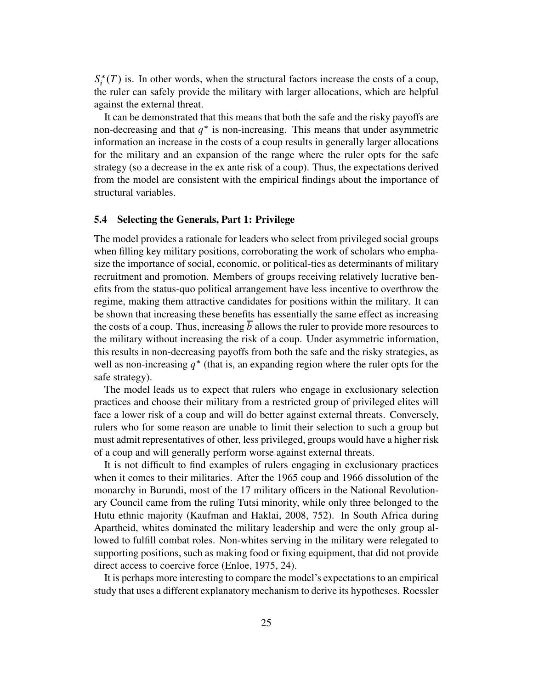$S_i^*(T)$  is. In other words, when the structural factors increase the costs of a coup, the ruler can safely provide the military with larger allocations, which are helpful against the external threat.

It can be demonstrated that this means that both the safe and the risky payoffs are non-decreasing and that  $q^*$  is non-increasing. This means that under asymmetric information an increase in the costs of a coup results in generally larger allocations for the military and an expansion of the range where the ruler opts for the safe strategy (so a decrease in the ex ante risk of a coup). Thus, the expectations derived from the model are consistent with the empirical findings about the importance of structural variables.

#### 5.4 Selecting the Generals, Part 1: Privilege

The model provides a rationale for leaders who select from privileged social groups when filling key military positions, corroborating the work of scholars who emphasize the importance of social, economic, or political-ties as determinants of military recruitment and promotion. Members of groups receiving relatively lucrative benefits from the status-quo political arrangement have less incentive to overthrow the regime, making them attractive candidates for positions within the military. It can be shown that increasing these benefits has essentially the same effect as increasing the costs of a coup. Thus, increasing  $\overline{b}$  allows the ruler to provide more resources to the military without increasing the risk of a coup. Under asymmetric information, this results in non-decreasing payoffs from both the safe and the risky strategies, as well as non-increasing  $q^*$  (that is, an expanding region where the ruler opts for the safe strategy).

The model leads us to expect that rulers who engage in exclusionary selection practices and choose their military from a restricted group of privileged elites will face a lower risk of a coup and will do better against external threats. Conversely, rulers who for some reason are unable to limit their selection to such a group but must admit representatives of other, less privileged, groups would have a higher risk of a coup and will generally perform worse against external threats.

It is not difficult to find examples of rulers engaging in exclusionary practices when it comes to their militaries. After the 1965 coup and 1966 dissolution of the monarchy in Burundi, most of the 17 military officers in the National Revolutionary Council came from the ruling Tutsi minority, while only three belonged to the Hutu ethnic majority (Kaufman and Haklai, 2008, 752). In South Africa during Apartheid, whites dominated the military leadership and were the only group allowed to fulfill combat roles. Non-whites serving in the military were relegated to supporting positions, such as making food or fixing equipment, that did not provide direct access to coercive force (Enloe, 1975, 24).

It is perhaps more interesting to compare the model's expectations to an empirical study that uses a different explanatory mechanism to derive its hypotheses. Roessler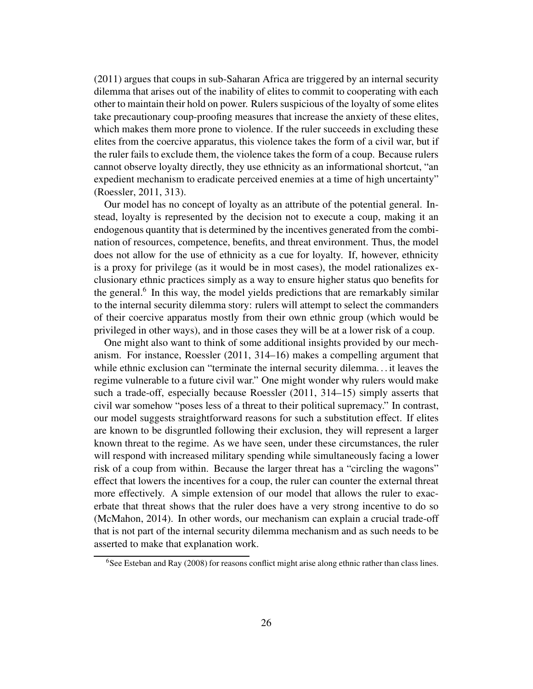(2011) argues that coups in sub-Saharan Africa are triggered by an internal security dilemma that arises out of the inability of elites to commit to cooperating with each other to maintain their hold on power. Rulers suspicious of the loyalty of some elites take precautionary coup-proofing measures that increase the anxiety of these elites, which makes them more prone to violence. If the ruler succeeds in excluding these elites from the coercive apparatus, this violence takes the form of a civil war, but if the ruler fails to exclude them, the violence takes the form of a coup. Because rulers cannot observe loyalty directly, they use ethnicity as an informational shortcut, "an expedient mechanism to eradicate perceived enemies at a time of high uncertainty" (Roessler, 2011, 313).

Our model has no concept of loyalty as an attribute of the potential general. Instead, loyalty is represented by the decision not to execute a coup, making it an endogenous quantity that is determined by the incentives generated from the combination of resources, competence, benefits, and threat environment. Thus, the model does not allow for the use of ethnicity as a cue for loyalty. If, however, ethnicity is a proxy for privilege (as it would be in most cases), the model rationalizes exclusionary ethnic practices simply as a way to ensure higher status quo benefits for the general.<sup>6</sup> In this way, the model yields predictions that are remarkably similar to the internal security dilemma story: rulers will attempt to select the commanders of their coercive apparatus mostly from their own ethnic group (which would be privileged in other ways), and in those cases they will be at a lower risk of a coup.

One might also want to think of some additional insights provided by our mechanism. For instance, Roessler (2011, 314–16) makes a compelling argument that while ethnic exclusion can "terminate the internal security dilemma. . . it leaves the regime vulnerable to a future civil war." One might wonder why rulers would make such a trade-off, especially because Roessler (2011, 314–15) simply asserts that civil war somehow "poses less of a threat to their political supremacy." In contrast, our model suggests straightforward reasons for such a substitution effect. If elites are known to be disgruntled following their exclusion, they will represent a larger known threat to the regime. As we have seen, under these circumstances, the ruler will respond with increased military spending while simultaneously facing a lower risk of a coup from within. Because the larger threat has a "circling the wagons" effect that lowers the incentives for a coup, the ruler can counter the external threat more effectively. A simple extension of our model that allows the ruler to exacerbate that threat shows that the ruler does have a very strong incentive to do so (McMahon, 2014). In other words, our mechanism can explain a crucial trade-off that is not part of the internal security dilemma mechanism and as such needs to be asserted to make that explanation work.

<sup>6</sup>See Esteban and Ray (2008) for reasons conflict might arise along ethnic rather than class lines.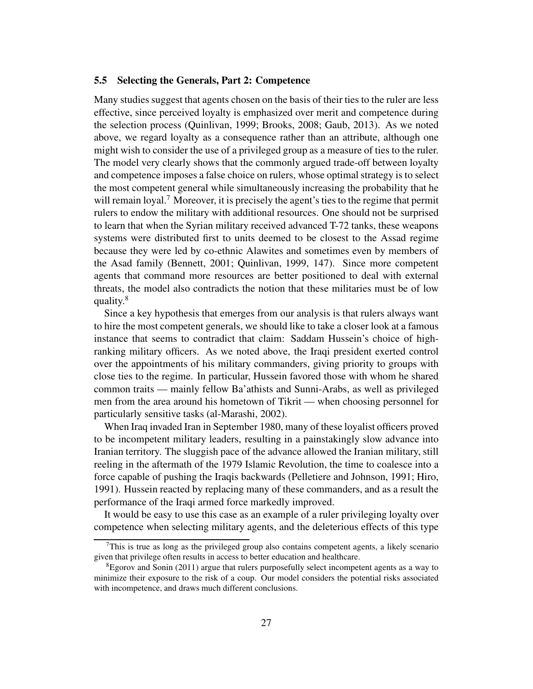### 5.5 Selecting the Generals, Part 2: Competence

Many studies suggest that agents chosen on the basis of their ties to the ruler are less effective, since perceived loyalty is emphasized over merit and competence during the selection process (Quinlivan, 1999; Brooks, 2008; Gaub, 2013). As we noted above, we regard loyalty as a consequence rather than an attribute, although one might wish to consider the use of a privileged group as a measure of ties to the ruler. The model very clearly shows that the commonly argued trade-off between loyalty and competence imposes a false choice on rulers, whose optimal strategy is to select the most competent general while simultaneously increasing the probability that he will remain loyal.<sup>7</sup> Moreover, it is precisely the agent's ties to the regime that permit rulers to endow the military with additional resources. One should not be surprised to learn that when the Syrian military received advanced T-72 tanks, these weapons systems were distributed first to units deemed to be closest to the Assad regime because they were led by co-ethnic Alawites and sometimes even by members of the Asad family (Bennett, 2001; Quinlivan, 1999, 147). Since more competent agents that command more resources are better positioned to deal with external threats, the model also contradicts the notion that these militaries must be of low quality.<sup>8</sup>

Since a key hypothesis that emerges from our analysis is that rulers always want to hire the most competent generals, we should like to take a closer look at a famous instance that seems to contradict that claim: Saddam Hussein's choice of highranking military officers. As we noted above, the Iraqi president exerted control over the appointments of his military commanders, giving priority to groups with close ties to the regime. In particular, Hussein favored those with whom he shared common traits — mainly fellow Ba'athists and Sunni-Arabs, as well as privileged men from the area around his hometown of Tikrit — when choosing personnel for particularly sensitive tasks (al-Marashi, 2002).

When Iraq invaded Iran in September 1980, many of these loyalist officers proved to be incompetent military leaders, resulting in a painstakingly slow advance into Iranian territory. The sluggish pace of the advance allowed the Iranian military, still reeling in the aftermath of the 1979 Islamic Revolution, the time to coalesce into a force capable of pushing the Iraqis backwards (Pelletiere and Johnson, 1991; Hiro, 1991). Hussein reacted by replacing many of these commanders, and as a result the performance of the Iraqi armed force markedly improved.

It would be easy to use this case as an example of a ruler privileging loyalty over competence when selecting military agents, and the deleterious effects of this type

 $7$ This is true as long as the privileged group also contains competent agents, a likely scenario given that privilege often results in access to better education and healthcare.

<sup>8</sup>Egorov and Sonin (2011) argue that rulers purposefully select incompetent agents as a way to minimize their exposure to the risk of a coup. Our model considers the potential risks associated with incompetence, and draws much different conclusions.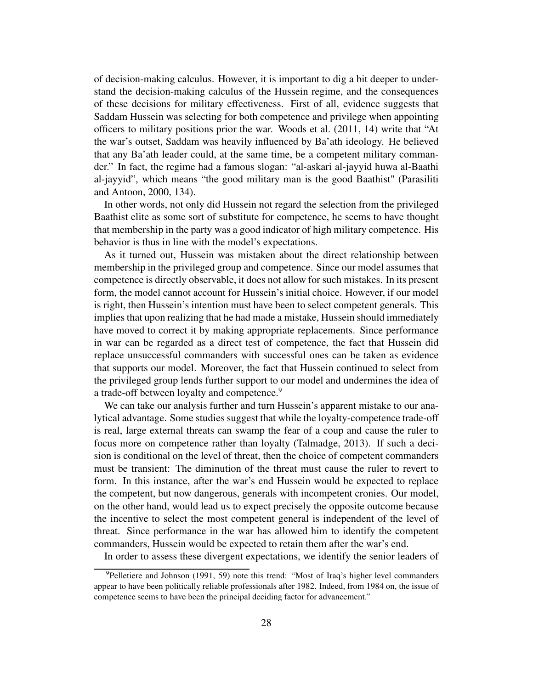of decision-making calculus. However, it is important to dig a bit deeper to understand the decision-making calculus of the Hussein regime, and the consequences of these decisions for military effectiveness. First of all, evidence suggests that Saddam Hussein was selecting for both competence and privilege when appointing officers to military positions prior the war. Woods et al. (2011, 14) write that "At the war's outset, Saddam was heavily influenced by Ba'ath ideology. He believed that any Ba'ath leader could, at the same time, be a competent military commander." In fact, the regime had a famous slogan: "al-askari al-jayyid huwa al-Baathi al-jayyid", which means "the good military man is the good Baathist" (Parasiliti and Antoon, 2000, 134).

In other words, not only did Hussein not regard the selection from the privileged Baathist elite as some sort of substitute for competence, he seems to have thought that membership in the party was a good indicator of high military competence. His behavior is thus in line with the model's expectations.

As it turned out, Hussein was mistaken about the direct relationship between membership in the privileged group and competence. Since our model assumes that competence is directly observable, it does not allow for such mistakes. In its present form, the model cannot account for Hussein's initial choice. However, if our model is right, then Hussein's intention must have been to select competent generals. This implies that upon realizing that he had made a mistake, Hussein should immediately have moved to correct it by making appropriate replacements. Since performance in war can be regarded as a direct test of competence, the fact that Hussein did replace unsuccessful commanders with successful ones can be taken as evidence that supports our model. Moreover, the fact that Hussein continued to select from the privileged group lends further support to our model and undermines the idea of a trade-off between loyalty and competence.<sup>9</sup>

We can take our analysis further and turn Hussein's apparent mistake to our analytical advantage. Some studies suggest that while the loyalty-competence trade-off is real, large external threats can swamp the fear of a coup and cause the ruler to focus more on competence rather than loyalty (Talmadge, 2013). If such a decision is conditional on the level of threat, then the choice of competent commanders must be transient: The diminution of the threat must cause the ruler to revert to form. In this instance, after the war's end Hussein would be expected to replace the competent, but now dangerous, generals with incompetent cronies. Our model, on the other hand, would lead us to expect precisely the opposite outcome because the incentive to select the most competent general is independent of the level of threat. Since performance in the war has allowed him to identify the competent commanders, Hussein would be expected to retain them after the war's end.

In order to assess these divergent expectations, we identify the senior leaders of

<sup>9</sup>Pelletiere and Johnson (1991, 59) note this trend: "Most of Iraq's higher level commanders appear to have been politically reliable professionals after 1982. Indeed, from 1984 on, the issue of competence seems to have been the principal deciding factor for advancement."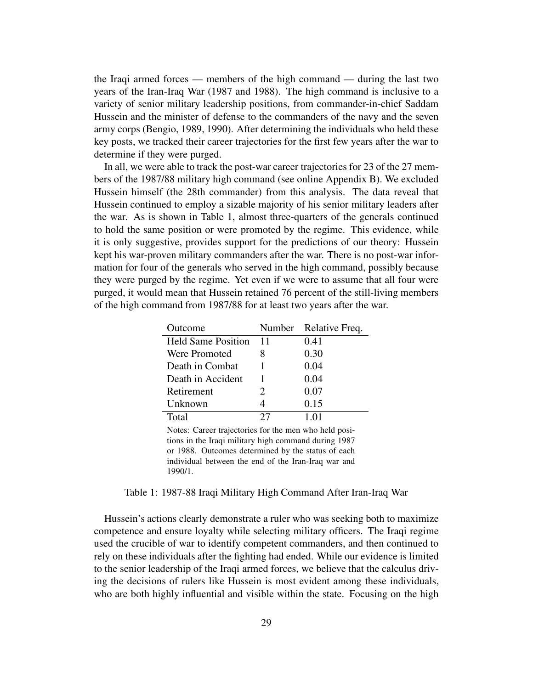the Iraqi armed forces — members of the high command — during the last two years of the Iran-Iraq War (1987 and 1988). The high command is inclusive to a variety of senior military leadership positions, from commander-in-chief Saddam Hussein and the minister of defense to the commanders of the navy and the seven army corps (Bengio, 1989, 1990). After determining the individuals who held these key posts, we tracked their career trajectories for the first few years after the war to determine if they were purged.

In all, we were able to track the post-war career trajectories for 23 of the 27 members of the 1987/88 military high command (see online Appendix B). We excluded Hussein himself (the 28th commander) from this analysis. The data reveal that Hussein continued to employ a sizable majority of his senior military leaders after the war. As is shown in Table 1, almost three-quarters of the generals continued to hold the same position or were promoted by the regime. This evidence, while it is only suggestive, provides support for the predictions of our theory: Hussein kept his war-proven military commanders after the war. There is no post-war information for four of the generals who served in the high command, possibly because they were purged by the regime. Yet even if we were to assume that all four were purged, it would mean that Hussein retained 76 percent of the still-living members of the high command from 1987/88 for at least two years after the war.

| Outcome                   |                       | Number Relative Freq. |
|---------------------------|-----------------------|-----------------------|
| <b>Held Same Position</b> | 11                    | 0.41                  |
| Were Promoted             | x                     | 0.30                  |
| Death in Combat           |                       | 0.04                  |
| Death in Accident         |                       | 0.04                  |
| Retirement                | $\mathcal{D}_{\cdot}$ | 0.07                  |
| Unknown                   | 4                     | 0.15                  |
| Total                     |                       | 1 () 1                |

Notes: Career trajectories for the men who held positions in the Iraqi military high command during 1987 or 1988. Outcomes determined by the status of each individual between the end of the Iran-Iraq war and 1990/1.

### Table 1: 1987-88 Iraqi Military High Command After Iran-Iraq War

Hussein's actions clearly demonstrate a ruler who was seeking both to maximize competence and ensure loyalty while selecting military officers. The Iraqi regime used the crucible of war to identify competent commanders, and then continued to rely on these individuals after the fighting had ended. While our evidence is limited to the senior leadership of the Iraqi armed forces, we believe that the calculus driving the decisions of rulers like Hussein is most evident among these individuals, who are both highly influential and visible within the state. Focusing on the high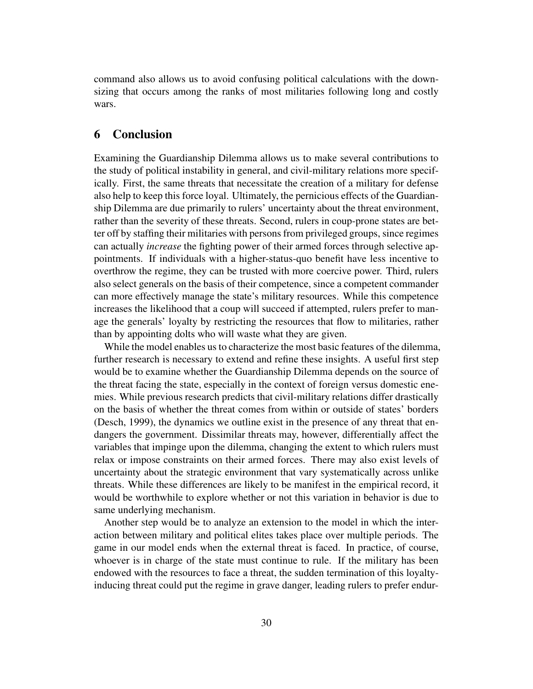command also allows us to avoid confusing political calculations with the downsizing that occurs among the ranks of most militaries following long and costly wars.

# 6 Conclusion

Examining the Guardianship Dilemma allows us to make several contributions to the study of political instability in general, and civil-military relations more specifically. First, the same threats that necessitate the creation of a military for defense also help to keep this force loyal. Ultimately, the pernicious effects of the Guardianship Dilemma are due primarily to rulers' uncertainty about the threat environment, rather than the severity of these threats. Second, rulers in coup-prone states are better off by staffing their militaries with persons from privileged groups, since regimes can actually *increase* the fighting power of their armed forces through selective appointments. If individuals with a higher-status-quo benefit have less incentive to overthrow the regime, they can be trusted with more coercive power. Third, rulers also select generals on the basis of their competence, since a competent commander can more effectively manage the state's military resources. While this competence increases the likelihood that a coup will succeed if attempted, rulers prefer to manage the generals' loyalty by restricting the resources that flow to militaries, rather than by appointing dolts who will waste what they are given.

While the model enables us to characterize the most basic features of the dilemma, further research is necessary to extend and refine these insights. A useful first step would be to examine whether the Guardianship Dilemma depends on the source of the threat facing the state, especially in the context of foreign versus domestic enemies. While previous research predicts that civil-military relations differ drastically on the basis of whether the threat comes from within or outside of states' borders (Desch, 1999), the dynamics we outline exist in the presence of any threat that endangers the government. Dissimilar threats may, however, differentially affect the variables that impinge upon the dilemma, changing the extent to which rulers must relax or impose constraints on their armed forces. There may also exist levels of uncertainty about the strategic environment that vary systematically across unlike threats. While these differences are likely to be manifest in the empirical record, it would be worthwhile to explore whether or not this variation in behavior is due to same underlying mechanism.

Another step would be to analyze an extension to the model in which the interaction between military and political elites takes place over multiple periods. The game in our model ends when the external threat is faced. In practice, of course, whoever is in charge of the state must continue to rule. If the military has been endowed with the resources to face a threat, the sudden termination of this loyaltyinducing threat could put the regime in grave danger, leading rulers to prefer endur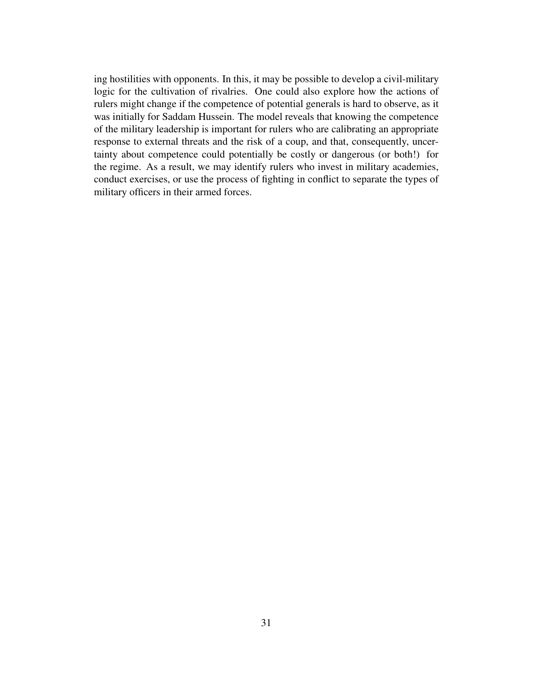ing hostilities with opponents. In this, it may be possible to develop a civil-military logic for the cultivation of rivalries. One could also explore how the actions of rulers might change if the competence of potential generals is hard to observe, as it was initially for Saddam Hussein. The model reveals that knowing the competence of the military leadership is important for rulers who are calibrating an appropriate response to external threats and the risk of a coup, and that, consequently, uncertainty about competence could potentially be costly or dangerous (or both!) for the regime. As a result, we may identify rulers who invest in military academies, conduct exercises, or use the process of fighting in conflict to separate the types of military officers in their armed forces.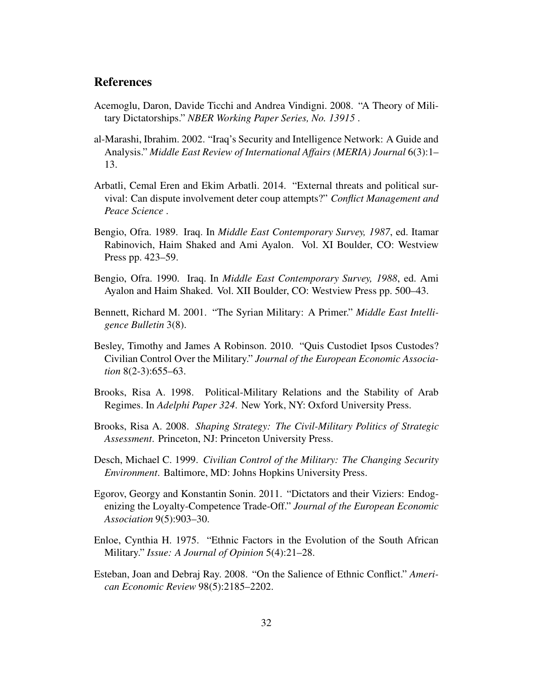# References

- Acemoglu, Daron, Davide Ticchi and Andrea Vindigni. 2008. "A Theory of Military Dictatorships." *NBER Working Paper Series, No. 13915* .
- al-Marashi, Ibrahim. 2002. "Iraq's Security and Intelligence Network: A Guide and Analysis." *Middle East Review of International Affairs (MERIA) Journal* 6(3):1– 13.
- Arbatli, Cemal Eren and Ekim Arbatli. 2014. "External threats and political survival: Can dispute involvement deter coup attempts?" *Conflict Management and Peace Science* .
- Bengio, Ofra. 1989. Iraq. In *Middle East Contemporary Survey, 1987*, ed. Itamar Rabinovich, Haim Shaked and Ami Ayalon. Vol. XI Boulder, CO: Westview Press pp. 423–59.
- Bengio, Ofra. 1990. Iraq. In *Middle East Contemporary Survey, 1988*, ed. Ami Ayalon and Haim Shaked. Vol. XII Boulder, CO: Westview Press pp. 500–43.
- Bennett, Richard M. 2001. "The Syrian Military: A Primer." *Middle East Intelligence Bulletin* 3(8).
- Besley, Timothy and James A Robinson. 2010. "Quis Custodiet Ipsos Custodes? Civilian Control Over the Military." *Journal of the European Economic Association* 8(2-3):655–63.
- Brooks, Risa A. 1998. Political-Military Relations and the Stability of Arab Regimes. In *Adelphi Paper 324*. New York, NY: Oxford University Press.
- Brooks, Risa A. 2008. *Shaping Strategy: The Civil-Military Politics of Strategic Assessment*. Princeton, NJ: Princeton University Press.
- Desch, Michael C. 1999. *Civilian Control of the Military: The Changing Security Environment*. Baltimore, MD: Johns Hopkins University Press.
- Egorov, Georgy and Konstantin Sonin. 2011. "Dictators and their Viziers: Endogenizing the Loyalty-Competence Trade-Off." *Journal of the European Economic Association* 9(5):903–30.
- Enloe, Cynthia H. 1975. "Ethnic Factors in the Evolution of the South African Military." *Issue: A Journal of Opinion* 5(4):21–28.
- Esteban, Joan and Debraj Ray. 2008. "On the Salience of Ethnic Conflict." *American Economic Review* 98(5):2185–2202.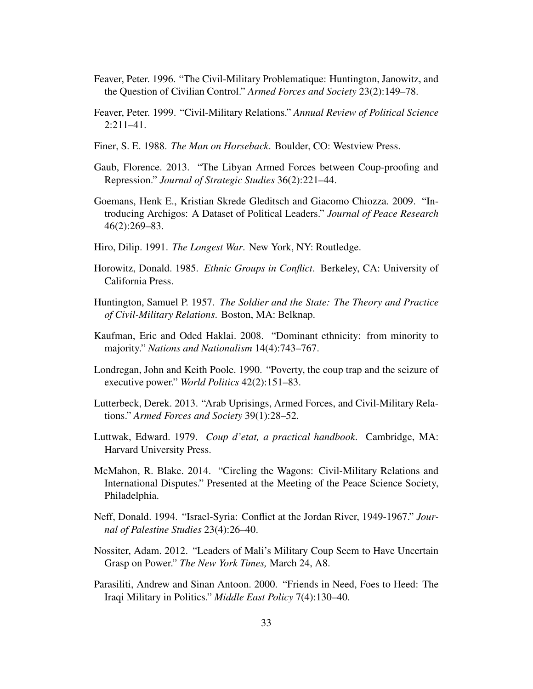- Feaver, Peter. 1996. "The Civil-Military Problematique: Huntington, Janowitz, and the Question of Civilian Control." *Armed Forces and Society* 23(2):149–78.
- Feaver, Peter. 1999. "Civil-Military Relations." *Annual Review of Political Science* 2:211–41.
- Finer, S. E. 1988. *The Man on Horseback*. Boulder, CO: Westview Press.
- Gaub, Florence. 2013. "The Libyan Armed Forces between Coup-proofing and Repression." *Journal of Strategic Studies* 36(2):221–44.
- Goemans, Henk E., Kristian Skrede Gleditsch and Giacomo Chiozza. 2009. "Introducing Archigos: A Dataset of Political Leaders." *Journal of Peace Research* 46(2):269–83.
- Hiro, Dilip. 1991. *The Longest War*. New York, NY: Routledge.
- Horowitz, Donald. 1985. *Ethnic Groups in Conflict*. Berkeley, CA: University of California Press.
- Huntington, Samuel P. 1957. *The Soldier and the State: The Theory and Practice of Civil-Military Relations*. Boston, MA: Belknap.
- Kaufman, Eric and Oded Haklai. 2008. "Dominant ethnicity: from minority to majority." *Nations and Nationalism* 14(4):743–767.
- Londregan, John and Keith Poole. 1990. "Poverty, the coup trap and the seizure of executive power." *World Politics* 42(2):151–83.
- Lutterbeck, Derek. 2013. "Arab Uprisings, Armed Forces, and Civil-Military Relations." *Armed Forces and Society* 39(1):28–52.
- Luttwak, Edward. 1979. *Coup d'etat, a practical handbook*. Cambridge, MA: Harvard University Press.
- McMahon, R. Blake. 2014. "Circling the Wagons: Civil-Military Relations and International Disputes." Presented at the Meeting of the Peace Science Society, Philadelphia.
- Neff, Donald. 1994. "Israel-Syria: Conflict at the Jordan River, 1949-1967." *Journal of Palestine Studies* 23(4):26–40.
- Nossiter, Adam. 2012. "Leaders of Mali's Military Coup Seem to Have Uncertain Grasp on Power." *The New York Times,* March 24, A8.
- Parasiliti, Andrew and Sinan Antoon. 2000. "Friends in Need, Foes to Heed: The Iraqi Military in Politics." *Middle East Policy* 7(4):130–40.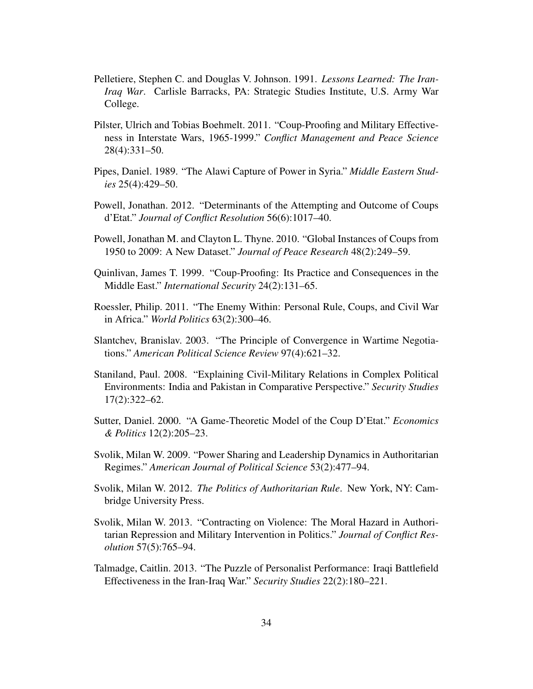- Pelletiere, Stephen C. and Douglas V. Johnson. 1991. *Lessons Learned: The Iran-Iraq War*. Carlisle Barracks, PA: Strategic Studies Institute, U.S. Army War College.
- Pilster, Ulrich and Tobias Boehmelt. 2011. "Coup-Proofing and Military Effectiveness in Interstate Wars, 1965-1999." *Conflict Management and Peace Science* 28(4):331–50.
- Pipes, Daniel. 1989. "The Alawi Capture of Power in Syria." *Middle Eastern Studies* 25(4):429–50.
- Powell, Jonathan. 2012. "Determinants of the Attempting and Outcome of Coups d'Etat." *Journal of Conflict Resolution* 56(6):1017–40.
- Powell, Jonathan M. and Clayton L. Thyne. 2010. "Global Instances of Coups from 1950 to 2009: A New Dataset." *Journal of Peace Research* 48(2):249–59.
- Quinlivan, James T. 1999. "Coup-Proofing: Its Practice and Consequences in the Middle East." *International Security* 24(2):131–65.
- Roessler, Philip. 2011. "The Enemy Within: Personal Rule, Coups, and Civil War in Africa." *World Politics* 63(2):300–46.
- Slantchev, Branislav. 2003. "The Principle of Convergence in Wartime Negotiations." *American Political Science Review* 97(4):621–32.
- Staniland, Paul. 2008. "Explaining Civil-Military Relations in Complex Political Environments: India and Pakistan in Comparative Perspective." *Security Studies* 17(2):322–62.
- Sutter, Daniel. 2000. "A Game-Theoretic Model of the Coup D'Etat." *Economics & Politics* 12(2):205–23.
- Svolik, Milan W. 2009. "Power Sharing and Leadership Dynamics in Authoritarian Regimes." *American Journal of Political Science* 53(2):477–94.
- Svolik, Milan W. 2012. *The Politics of Authoritarian Rule*. New York, NY: Cambridge University Press.
- Svolik, Milan W. 2013. "Contracting on Violence: The Moral Hazard in Authoritarian Repression and Military Intervention in Politics." *Journal of Conflict Resolution* 57(5):765–94.
- Talmadge, Caitlin. 2013. "The Puzzle of Personalist Performance: Iraqi Battlefield Effectiveness in the Iran-Iraq War." *Security Studies* 22(2):180–221.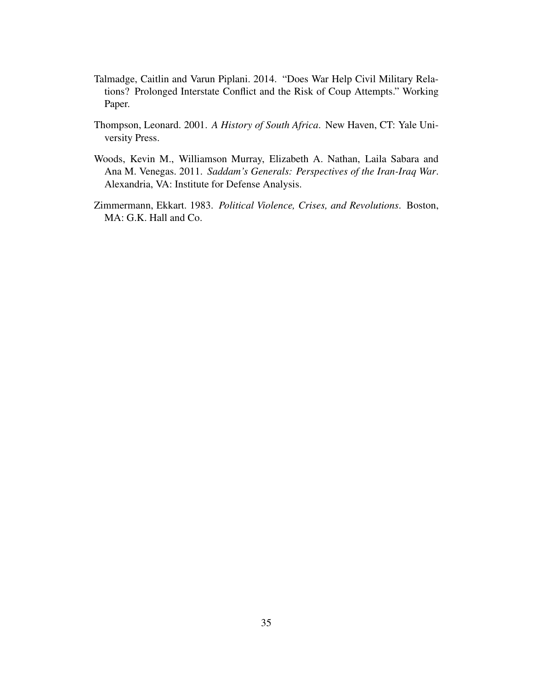- Talmadge, Caitlin and Varun Piplani. 2014. "Does War Help Civil Military Relations? Prolonged Interstate Conflict and the Risk of Coup Attempts." Working Paper.
- Thompson, Leonard. 2001. *A History of South Africa*. New Haven, CT: Yale University Press.
- Woods, Kevin M., Williamson Murray, Elizabeth A. Nathan, Laila Sabara and Ana M. Venegas. 2011. *Saddam's Generals: Perspectives of the Iran-Iraq War*. Alexandria, VA: Institute for Defense Analysis.
- Zimmermann, Ekkart. 1983. *Political Violence, Crises, and Revolutions*. Boston, MA: G.K. Hall and Co.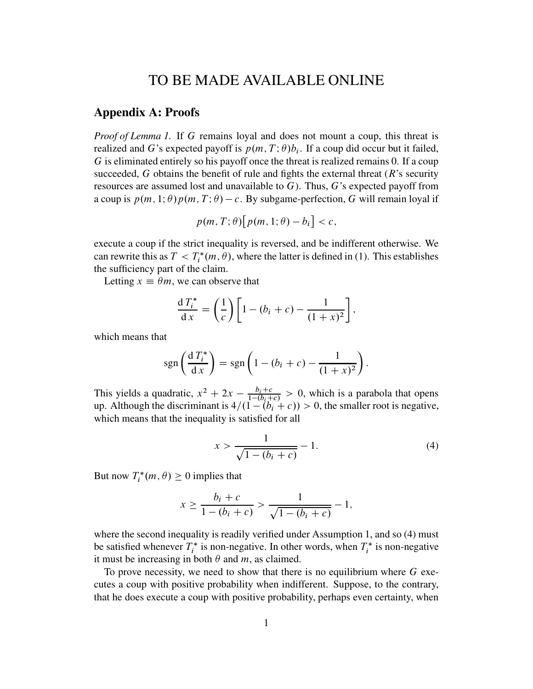# TO BE MADE AVAILABLE ONLINE

### Appendix A: Proofs

*Proof of Lemma 1.* If G remains loyal and does not mount a coup, this threat is realized and G's expected payoff is  $p(m, T; \theta) b_i$ . If a coup did occur but it failed, G is eliminated entirely so his payoff once the threat is realized remains 0. If a coup succeeded, G obtains the benefit of rule and fights the external threat  $(R$ 's security resources are assumed lost and unavailable to  $G$ ). Thus,  $G$ 's expected payoff from a coup is  $p(m, 1; \theta) p(m, T; \theta) - c$ . By subgame-perfection, G will remain loyal if

$$
p(m, T; \theta) [p(m, 1; \theta) - b_i] < c,
$$

execute a coup if the strict inequality is reversed, and be indifferent otherwise. We can rewrite this as  $T < T_i^*(m, \theta)$ , where the latter is defined in (1). This establishes the sufficiency part of the claim.

Letting  $x \equiv \theta m$ , we can observe that

$$
\frac{\mathrm{d} T_i^*}{\mathrm{d} x} = \left(\frac{1}{c}\right) \left[1 - (b_i + c) - \frac{1}{(1+x)^2}\right],
$$

which means that

$$
sgn\left(\frac{d T_i^*}{d x}\right) = sgn\left(1 - (b_i + c) - \frac{1}{(1 + x)^2}\right).
$$

This yields a quadratic,  $x^2 + 2x - \frac{b_i + c}{1 - (b_i + c)} > 0$ , which is a parabola that opens up. Although the discriminant is  $4/(1 – (b_i + c)) > 0$ , the smaller root is negative, which means that the inequality is satisfied for all

$$
x > \frac{1}{\sqrt{1 - (b_i + c)}} - 1.
$$
 (4)

But now  $T_i^*(m, \theta) \ge 0$  implies that

$$
x \ge \frac{b_i + c}{1 - (b_i + c)} > \frac{1}{\sqrt{1 - (b_i + c)}} - 1,
$$

where the second inequality is readily verified under Assumption 1, and so (4) must be satisfied whenever  $T_i^*$  is non-negative. In other words, when  $T_i^*$  is non-negative it must be increasing in both  $\theta$  and m, as claimed.

To prove necessity, we need to show that there is no equilibrium where  $G$  executes a coup with positive probability when indifferent. Suppose, to the contrary, that he does execute a coup with positive probability, perhaps even certainty, when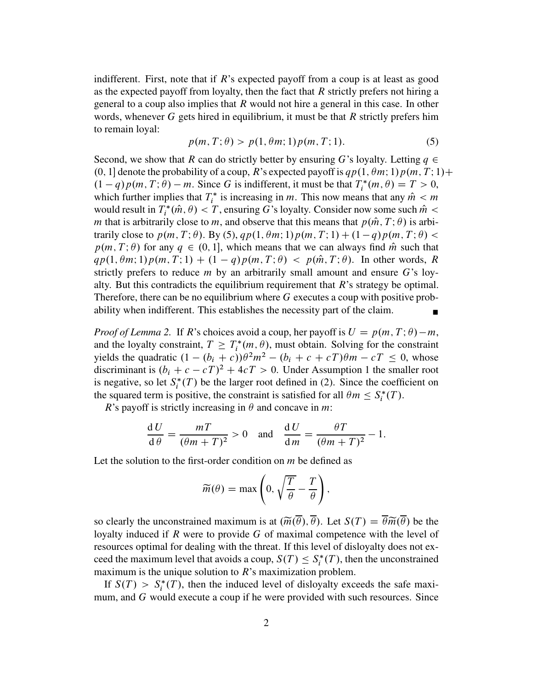indifferent. First, note that if  $R$ 's expected payoff from a coup is at least as good as the expected payoff from loyalty, then the fact that  $R$  strictly prefers not hiring a general to a coup also implies that  $R$  would not hire a general in this case. In other words, whenever G gets hired in equilibrium, it must be that R strictly prefers him to remain loyal:

$$
p(m, T; \theta) > p(1, \theta m; 1) p(m, T; 1).
$$
 (5)

Second, we show that R can do strictly better by ensuring G's loyalty. Letting  $q \in$  $(0, 1]$  denote the probability of a coup, R's expected payoff is  $qp(1, \theta m; 1)p(m, T; 1)$ +  $(1 - q)p(m, T; \theta) - m$ . Since G is indifferent, it must be that  $T_i^*(m, \theta) = T > 0$ , which further implies that  $T_i^*$  is increasing in m. This now means that any  $\hat{m} < m$ would result in  $T_i^*(\hat{m}, \theta) < T$ , ensuring G's loyalty. Consider now some such  $\hat{m} <$ m that is arbitrarily close to m, and observe that this means that  $p(\hat{m}, T; \theta)$  is arbitrarily close to  $p(m, T; \theta)$ . By (5),  $qp(1, \theta m; 1)p(m, T; 1) + (1 - q)p(m, T; \theta)$  $p(m, T; \theta)$  for any  $q \in (0, 1]$ , which means that we can always find m such that  $qp(1, \theta m; 1)p(m, T; 1) + (1 - q)p(m, T; \theta) < p(\hat{m}, T; \theta)$ . In other words, R strictly prefers to reduce  $m$  by an arbitrarily small amount and ensure  $G$ 's loyalty. But this contradicts the equilibrium requirement that  $R$ 's strategy be optimal. Therefore, there can be no equilibrium where  $G$  executes a coup with positive probability when indifferent. This establishes the necessity part of the claim. !

*Proof of Lemma 2.* If R's choices avoid a coup, her payoff is  $U = p(m, T; \theta) - m$ , and the loyalty constraint,  $T \geq T_i^*(m, \theta)$ , must obtain. Solving for the constraint yields the quadratic  $(1 - (b_i + c))^2 m^2 - (b_i + c + cT) \theta m - cT \le 0$ , whose discriminant is  $(b_i + c - cT)^2 + 4cT > 0$ . Under Assumption 1 the smaller root is negative, so let  $S_i^*(T)$  be the larger root defined in (2). Since the coefficient on the squared term is positive, the constraint is satisfied for all  $\theta m \leq S_i^*(T)$ .

R's payoff is strictly increasing in  $\theta$  and concave in m:

$$
\frac{\mathrm{d} U}{\mathrm{d} \theta} = \frac{mT}{(\theta m + T)^2} > 0 \quad \text{and} \quad \frac{\mathrm{d} U}{\mathrm{d} m} = \frac{\theta T}{(\theta m + T)^2} - 1.
$$

Let the solution to the first-order condition on  $m$  be defined as

$$
\widetilde{m}(\theta) = \max\left(0, \sqrt{\frac{T}{\theta}} - \frac{T}{\theta}\right),\,
$$

so clearly the unconstrained maximum is at  $(\widetilde{m}(\overline{\theta}), \overline{\theta})$ . Let  $S(T) = \overline{\theta} \widetilde{m}(\overline{\theta})$  be the loyalty induced if R were to provide G of maximal competence with the level of resources optimal for dealing with the threat. If this level of disloyalty does not exceed the maximum level that avoids a coup,  $S(T) \leq S_i^*(T)$ , then the unconstrained maximum is the unique solution to  $R$ 's maximization problem.

If  $S(T) > S_i^*(T)$ , then the induced level of disloyalty exceeds the safe maximum, and G would execute a coup if he were provided with such resources. Since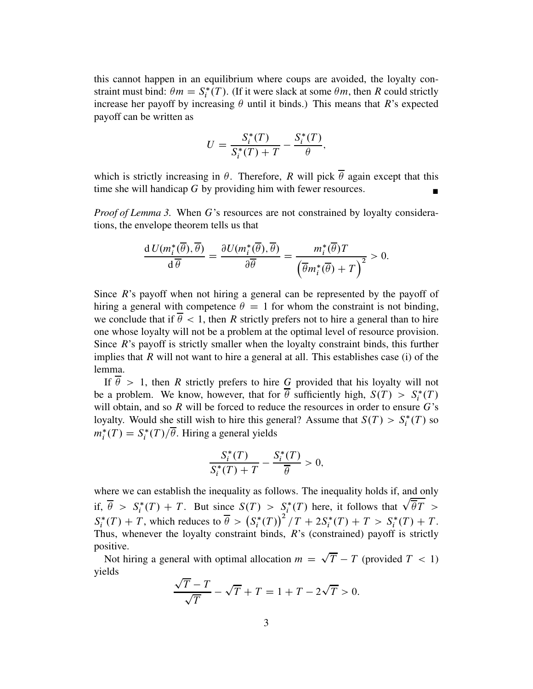this cannot happen in an equilibrium where coups are avoided, the loyalty constraint must bind:  $\theta m = S_i^*(T)$ . (If it were slack at some  $\theta m$ , then R could strictly increase her payoff by increasing  $\theta$  until it binds.) This means that R's expected payoff can be written as

$$
U = \frac{S_i^*(T)}{S_i^*(T) + T} - \frac{S_i^*(T)}{\theta},
$$

which is strictly increasing in  $\theta$ . Therefore, R will pick  $\overline{\theta}$  again except that this time she will handicap  $G$  by providing him with fewer resources.

*Proof of Lemma 3.* When G's resources are not constrained by loyalty considerations, the envelope theorem tells us that

$$
\frac{\mathrm{d} U(m_i^*(\overline{\theta}),\overline{\theta})}{\mathrm{d} \overline{\theta}} = \frac{\partial U(m_i^*(\overline{\theta}),\overline{\theta})}{\partial \overline{\theta}} = \frac{m_i^*(\overline{\theta})T}{\left(\overline{\theta}m_i^*(\overline{\theta})+T\right)^2} > 0.
$$

Since  $R$ 's payoff when not hiring a general can be represented by the payoff of hiring a general with competence  $\theta = 1$  for whom the constraint is not binding, we conclude that if  $\theta$  < 1, then R strictly prefers not to hire a general than to hire one whose loyalty will not be a problem at the optimal level of resource provision. Since  $R$ 's payoff is strictly smaller when the loyalty constraint binds, this further implies that  $R$  will not want to hire a general at all. This establishes case (i) of the lemma.

If  $\overline{\theta} > 1$ , then R strictly prefers to hire G provided that his loyalty will not be a problem. We know, however, that for  $\overline{\theta}$  sufficiently high,  $S(T) > S_i^*(T)$ will obtain, and so  $R$  will be forced to reduce the resources in order to ensure  $G$ 's loyalty. Would she still wish to hire this general? Assume that  $S(T) > S_i^*(T)$  so  $m_i^*(T) = S_i^*(T) / \overline{\theta}$ . Hiring a general yields

$$
\frac{S_i^*(T)}{S_i^*(T) + T} - \frac{S_i^*(T)}{\overline{\theta}} > 0,
$$

where we can establish the inequality as follows. The inequality holds if, and only if,  $\overline{\theta} > S_i^*(T) + T$ . But since  $S(T) > S_i^*(T)$  here, it follows that  $\sqrt{\overline{\theta}T} >$  $S_i^*(T) + T$ , which reduces to  $\overline{\theta} > (S_i^*(T))^2 / T + 2S_i^*(T) + T > S_i^*(T) + T$ . Thus, whenever the loyalty constraint binds,  $R$ 's (constrained) payoff is strictly positive.

Not hiring a general with optimal allocation  $m = \sqrt{T} - T$  (provided  $T < 1$ ) yields

$$
\frac{\sqrt{T} - T}{\sqrt{T}} - \sqrt{T} + T = 1 + T - 2\sqrt{T} > 0.
$$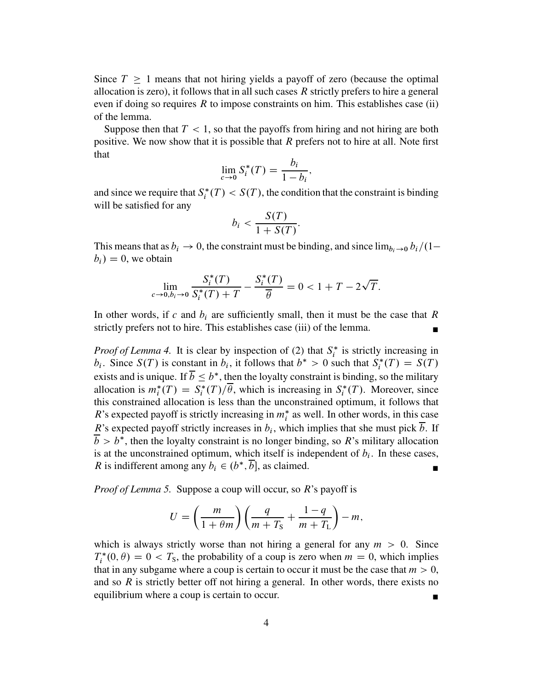Since  $T \geq 1$  means that not hiring yields a payoff of zero (because the optimal allocation is zero), it follows that in all such cases  $R$  strictly prefers to hire a general even if doing so requires R to impose constraints on him. This establishes case (ii) of the lemma.

Suppose then that  $T < 1$ , so that the payoffs from hiring and not hiring are both positive. We now show that it is possible that  $R$  prefers not to hire at all. Note first that

$$
\lim_{c \to 0} S_i^*(T) = \frac{b_i}{1 - b_i},
$$

and since we require that  $S_i^*(T) < S(T)$ , the condition that the constraint is binding will be satisfied for any

$$
b_i < \frac{S(T)}{1 + S(T)}.
$$

This means that as  $b_i \rightarrow 0$ , the constraint must be binding, and since  $\lim_{b_i\rightarrow 0} b_i/(1-\frac{1}{\sqrt{2}})$  $b_i$ ) = 0, we obtain

$$
\lim_{c \to 0, b_i \to 0} \frac{S_i^*(T)}{S_i^*(T) + T} - \frac{S_i^*(T)}{\overline{\theta}} = 0 < 1 + T - 2\sqrt{T}.
$$

In other words, if c and  $b_i$  are sufficiently small, then it must be the case that R strictly prefers not to hire. This establishes case (iii) of the lemma.

*Proof of Lemma 4.* It is clear by inspection of (2) that  $S_i^*$  is strictly increasing in  $b_i$ . Since  $S(T)$  is constant in  $b_i$ , it follows that  $b^* > 0$  such that  $S_i^*(T) = S(T)$ exists and is unique. If  $\overline{b} \leq b^*$ , then the loyalty constraint is binding, so the military allocation is  $m_i^*(T) = S_i^*(T)/\overline{\theta}$ , which is increasing in  $S_i^*(T)$ . Moreover, since this constrained allocation is less than the unconstrained optimum, it follows that  $R$ 's expected payoff is strictly increasing in  $m_i^*$  as well. In other words, in this case R's expected payoff strictly increases in  $b_i$ , which implies that she must pick  $\overline{b}$ . If  $b > b^*$ , then the loyalty constraint is no longer binding, so R's military allocation is at the unconstrained optimum, which itself is independent of  $b_i$ . In these cases, R is indifferent among any  $b_i \in (b^*, \overline{b})$ , as claimed.

*Proof of Lemma 5.* Suppose a coup will occur, so R's payoff is

$$
U = \left(\frac{m}{1+\theta m}\right) \left(\frac{q}{m+T_{\rm S}} + \frac{1-q}{m+T_{\rm L}}\right) - m,
$$

which is always strictly worse than not hiring a general for any  $m > 0$ . Since  $T_i^*(0, \theta) = 0 < T_s$ , the probability of a coup is zero when  $m = 0$ , which implies that in any subgame where a coup is certain to occur it must be the case that  $m>0$ , and so  $R$  is strictly better off not hiring a general. In other words, there exists no equilibrium where a coup is certain to occur.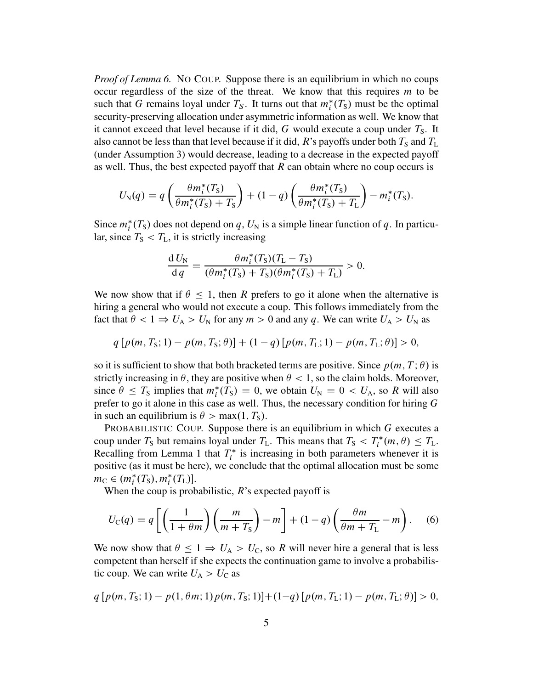*Proof of Lemma 6.* NO COUP. Suppose there is an equilibrium in which no coups occur regardless of the size of the threat. We know that this requires  $m$  to be such that G remains loyal under  $T_S$ . It turns out that  $m_i^*(T_S)$  must be the optimal security-preserving allocation under asymmetric information as well. We know that it cannot exceed that level because if it did, G would execute a coup under  $T<sub>S</sub>$ . It also cannot be less than that level because if it did, R's payoffs under both  $T_s$  and  $T_L$ (under Assumption 3) would decrease, leading to a decrease in the expected payoff as well. Thus, the best expected payoff that  $R$  can obtain where no coup occurs is

$$
U_{\rm N}(q) = q \left( \frac{\theta m_i^*(T_{\rm S})}{\theta m_i^*(T_{\rm S}) + T_{\rm S}} \right) + (1 - q) \left( \frac{\theta m_i^*(T_{\rm S})}{\theta m_i^*(T_{\rm S}) + T_{\rm L}} \right) - m_i^*(T_{\rm S}).
$$

Since  $m_i^*(T_s)$  does not depend on q,  $U_N$  is a simple linear function of q. In particular, since  $T_s < T_L$ , it is strictly increasing

$$
\frac{d U_{\rm N}}{dq} = \frac{\theta m_i^*(T_{\rm S})(T_{\rm L} - T_{\rm S})}{(\theta m_i^*(T_{\rm S}) + T_{\rm S})(\theta m_i^*(T_{\rm S}) + T_{\rm L})} > 0.
$$

We now show that if  $\theta \leq 1$ , then R prefers to go it alone when the alternative is hiring a general who would not execute a coup. This follows immediately from the fact that  $\theta < 1 \Rightarrow U_A > U_N$  for any  $m > 0$  and any q. We can write  $U_A > U_N$  as

$$
q [p(m, T_{\rm S}; 1) - p(m, T_{\rm S}; \theta)] + (1 - q) [p(m, T_{\rm L}; 1) - p(m, T_{\rm L}; \theta)] > 0,
$$

so it is sufficient to show that both bracketed terms are positive. Since  $p(m, T; \theta)$  is strictly increasing in  $\theta$ , they are positive when  $\theta$  < 1, so the claim holds. Moreover, since  $\theta \leq T_S$  implies that  $m_i^*(T_S) = 0$ , we obtain  $U_N = 0 < U_A$ , so R will also prefer to go it alone in this case as well. Thus, the necessary condition for hiring  $G$ in such an equilibrium is  $\theta > \max(1, T_s)$ .

PROBABILISTIC COUP. Suppose there is an equilibrium in which G executes a coup under  $T_s$  but remains loyal under  $T_L$ . This means that  $T_s < T_i^*(m, \theta) \leq T_L$ . Recalling from Lemma 1 that  $T_i^*$  is increasing in both parameters whenever it is positive (as it must be here), we conclude that the optimal allocation must be some  $m_{\rm C} \in (m_i^*(T_{\rm S}), m_i^*(T_{\rm L})].$ 

When the coup is probabilistic,  $R$ 's expected payoff is

$$
U_{\rm C}(q) = q \left[ \left( \frac{1}{1 + \theta m} \right) \left( \frac{m}{m + T_{\rm S}} \right) - m \right] + (1 - q) \left( \frac{\theta m}{\theta m + T_{\rm L}} - m \right). \tag{6}
$$

We now show that  $\theta \leq 1 \Rightarrow U_A > U_C$ , so R will never hire a general that is less competent than herself if she expects the continuation game to involve a probabilistic coup. We can write  $U_A > U_C$  as

$$
q [p(m, T_{\rm S}; 1) - p(1, \theta m; 1) p(m, T_{\rm S}; 1)] + (1 - q) [p(m, T_{\rm L}; 1) - p(m, T_{\rm L}; \theta)] > 0,
$$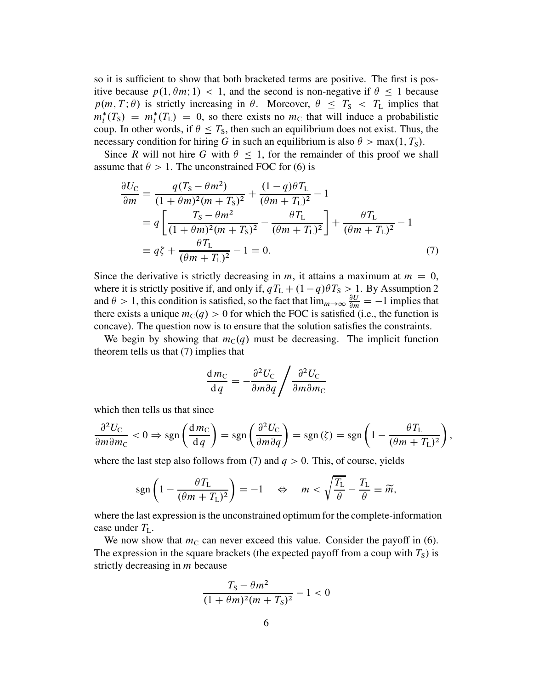so it is sufficient to show that both bracketed terms are positive. The first is positive because  $p(1, \theta m; 1)$  < 1, and the second is non-negative if  $\theta \leq 1$  because  $p(m, T; \theta)$  is strictly increasing in  $\theta$ . Moreover,  $\theta \leq T_S < T_L$  implies that  $m_i^*(T_s) = m_i^*(T_1) = 0$ , so there exists no  $m_c$  that will induce a probabilistic coup. In other words, if  $\theta \leq T_s$ , then such an equilibrium does not exist. Thus, the necessary condition for hiring G in such an equilibrium is also  $\theta > \max(1, T_S)$ .

Since R will not hire G with  $\theta \leq 1$ , for the remainder of this proof we shall assume that  $\theta > 1$ . The unconstrained FOC for (6) is

$$
\frac{\partial U_{\rm C}}{\partial m} = \frac{q(T_{\rm S} - \theta m^2)}{(1 + \theta m)^2 (m + T_{\rm S})^2} + \frac{(1 - q)\theta T_{\rm L}}{(\theta m + T_{\rm L})^2} - 1
$$
  
\n
$$
= q \left[ \frac{T_{\rm S} - \theta m^2}{(1 + \theta m)^2 (m + T_{\rm S})^2} - \frac{\theta T_{\rm L}}{(\theta m + T_{\rm L})^2} \right] + \frac{\theta T_{\rm L}}{(\theta m + T_{\rm L})^2} - 1
$$
  
\n
$$
\equiv q \zeta + \frac{\theta T_{\rm L}}{(\theta m + T_{\rm L})^2} - 1 = 0. \tag{7}
$$

Since the derivative is strictly decreasing in m, it attains a maximum at  $m = 0$ , where it is strictly positive if, and only if,  $qT_L + (1 - q)\theta T_S > 1$ . By Assumption 2 and  $\theta > 1$ , this condition is satisfied, so the fact that  $\lim_{m\to\infty} \frac{\partial U}{\partial m} = -1$  implies that there exists a unique  $m_C(q) > 0$  for which the FOC is satisfied (i.e., the function is concave). The question now is to ensure that the solution satisfies the constraints.

We begin by showing that  $m<sub>C</sub>(q)$  must be decreasing. The implicit function theorem tells us that (7) implies that

$$
\frac{\mathrm{d} m_{\mathrm{C}}}{\mathrm{d} q} = -\frac{\partial^2 U_{\mathrm{C}}}{\partial m \partial q} / \frac{\partial^2 U_{\mathrm{C}}}{\partial m \partial m_{\mathrm{C}}}
$$

which then tells us that since

$$
\frac{\partial^2 U_C}{\partial m \partial m_C} < 0 \Rightarrow \text{sgn}\left(\frac{dm_C}{dq}\right) = \text{sgn}\left(\frac{\partial^2 U_C}{\partial m \partial q}\right) = \text{sgn}\left(\zeta\right) = \text{sgn}\left(1 - \frac{\theta T_L}{(\theta m + T_L)^2}\right),
$$

where the last step also follows from (7) and  $q>0$ . This, of course, yields

$$
sgn\left(1-\frac{\theta T_{\rm L}}{(\theta m+T_{\rm L})^2}\right)=-1 \quad \Leftrightarrow \quad m<\sqrt{\frac{T_{\rm L}}{\theta}}-\frac{T_{\rm L}}{\theta}\equiv \widetilde{m},
$$

where the last expression is the unconstrained optimum for the complete-information case under  $T_{\rm L}$ .

We now show that  $m<sub>C</sub>$  can never exceed this value. Consider the payoff in (6). The expression in the square brackets (the expected payoff from a coup with  $T_s$ ) is strictly decreasing in *m* because

$$
\frac{T_{\rm S} - \theta m^2}{(1 + \theta m)^2 (m + T_{\rm S})^2} - 1 < 0
$$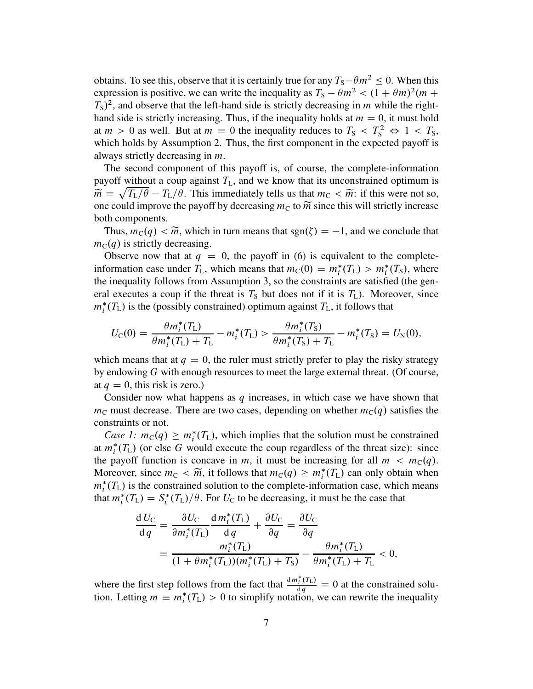obtains. To see this, observe that it is certainly true for any  $T_s - \theta m^2 \leq 0$ . When this expression is positive, we can write the inequality as  $T_S - \theta m^2 < (1 + \theta m)^2 (m +$  $(T<sub>S</sub>)<sup>2</sup>$ , and observe that the left-hand side is strictly decreasing in m while the righthand side is strictly increasing. Thus, if the inequality holds at  $m = 0$ , it must hold at  $m > 0$  as well. But at  $m = 0$  the inequality reduces to  $T_s < T_s^2 \Leftrightarrow 1 < T_s$ , which holds by Assumption 2. Thus, the first component in the expected payoff is always strictly decreasing in m.

The second component of this payoff is, of course, the complete-information payoff without a coup against  $T<sub>L</sub>$ , and we know that its unconstrained optimum is  $\widetilde{m} = \sqrt{T_L/\theta - T_L/\theta}$ . This immediately tells us that  $m_C < \widetilde{m}$ : if this were not so, one could improve the payoff by decreasing  $m<sub>C</sub>$  to  $\widetilde{m}$  since this will strictly increase both components.

Thus,  $m_C(q) < \widetilde{m}$ , which in turn means that  $sgn(\zeta) = -1$ , and we conclude that  $m<sub>C</sub>(q)$  is strictly decreasing.

Observe now that at  $q = 0$ , the payoff in (6) is equivalent to the completeinformation case under  $T_L$ , which means that  $m_C(0) = m_i^*(T_L) > m_i^*(T_S)$ , where the inequality follows from Assumption 3, so the constraints are satisfied (the general executes a coup if the threat is  $T<sub>S</sub>$  but does not if it is  $T<sub>L</sub>$ ). Moreover, since  $m_i^*(T_L)$  is the (possibly constrained) optimum against  $T_L$ , it follows that

$$
U_{\rm C}(0) = \frac{\theta m_i^*(T_{\rm L})}{\theta m_i^*(T_{\rm L}) + T_{\rm L}} - m_i^*(T_{\rm L}) > \frac{\theta m_i^*(T_{\rm S})}{\theta m_i^*(T_{\rm S}) + T_{\rm L}} - m_i^*(T_{\rm S}) = U_{\rm N}(0),
$$

which means that at  $q = 0$ , the ruler must strictly prefer to play the risky strategy by endowing  $G$  with enough resources to meet the large external threat. (Of course, at  $q = 0$ , this risk is zero.)

Consider now what happens as q increases, in which case we have shown that  $m<sub>C</sub>$  must decrease. There are two cases, depending on whether  $m<sub>C</sub>(q)$  satisfies the constraints or not.

*Case 1:*  $m_C(q) \geq m_i^*(T_L)$ , which implies that the solution must be constrained at  $m_i^*(T_L)$  (or else G would execute the coup regardless of the threat size): since the payoff function is concave in m, it must be increasing for all  $m < m<sub>C</sub>(q)$ . Moreover, since  $m_C < \widetilde{m}$ , it follows that  $m_C(q) \ge m_i^*(T_L)$  can only obtain when  $m_i^*(T_L)$  is the constrained solution to the complete-information case, which means that  $m_i^*(T_L) = S_i^*(T_L)/\theta$ . For  $U_C$  to be decreasing, it must be the case that

$$
\frac{\mathrm{d} U_{\mathrm{C}}}{\mathrm{d} q} = \frac{\partial U_{\mathrm{C}}}{\partial m_i^*(T_{\mathrm{L}})} \frac{\mathrm{d} m_i^*(T_{\mathrm{L}})}{\mathrm{d} q} + \frac{\partial U_{\mathrm{C}}}{\partial q} = \frac{\partial U_{\mathrm{C}}}{\partial q}
$$
\n
$$
= \frac{m_i^*(T_{\mathrm{L}})}{(1 + \theta m_i^*(T_{\mathrm{L}})) (m_i^*(T_{\mathrm{L}}) + T_{\mathrm{S}})} - \frac{\theta m_i^*(T_{\mathrm{L}})}{\theta m_i^*(T_{\mathrm{L}}) + T_{\mathrm{L}}} < 0,
$$

where the first step follows from the fact that  $\frac{dm_i^*(T_L)}{dq} = 0$  at the constrained solution. Letting  $m \equiv m_i^*(T_L) > 0$  to simplify notation, we can rewrite the inequality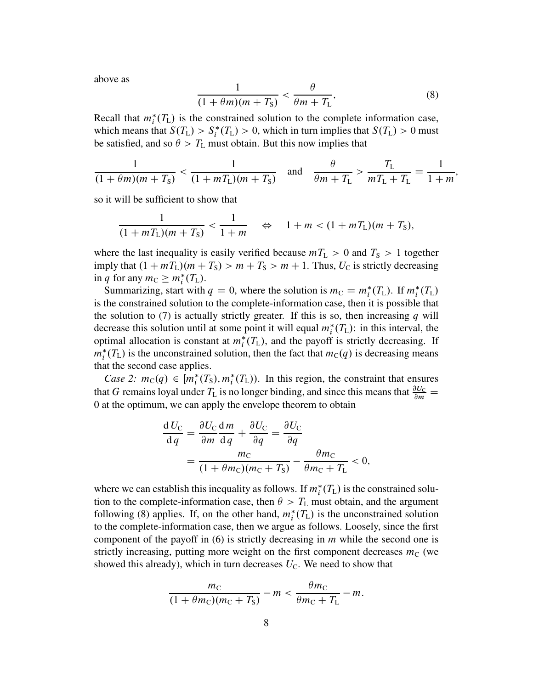above as

$$
\frac{1}{(1+\theta m)(m+T_{\rm S})} < \frac{\theta}{\theta m+T_{\rm L}},\tag{8}
$$

Recall that  $m_i^*(T_L)$  is the constrained solution to the complete information case, which means that  $S(T_L) > S_i^*(T_L) > 0$ , which in turn implies that  $S(T_L) > 0$  must be satisfied, and so  $\theta > T_L$  must obtain. But this now implies that

$$
\frac{1}{(1+\theta m)(m+T_{\rm S})} < \frac{1}{(1+mT_{\rm L})(m+T_{\rm S})} \quad \text{and} \quad \frac{\theta}{\theta m+T_{\rm L}} > \frac{T_{\rm L}}{mT_{\rm L}+T_{\rm L}} = \frac{1}{1+m},
$$

so it will be sufficient to show that

$$
\frac{1}{(1+mT_{\rm L})(m+T_{\rm S})} < \frac{1}{1+m} \quad \Leftrightarrow \quad 1+m < (1+mT_{\rm L})(m+T_{\rm S}),
$$

where the last inequality is easily verified because  $mT_L > 0$  and  $T_S > 1$  together imply that  $(1 + mT_L)(m + T_S) > m + T_S > m + 1$ . Thus,  $U_C$  is strictly decreasing in q for any  $m_C \geq m_i^*(T_L)$ .

Summarizing, start with  $q = 0$ , where the solution is  $m_C = m_i^*(T_L)$ . If  $m_i^*(T_L)$ is the constrained solution to the complete-information case, then it is possible that the solution to (7) is actually strictly greater. If this is so, then increasing  $q$  will decrease this solution until at some point it will equal  $m_i^*(T_L)$ : in this interval, the optimal allocation is constant at  $m_i^*(T_L)$ , and the payoff is strictly decreasing. If  $m_i^*(T_L)$  is the unconstrained solution, then the fact that  $m_C(q)$  is decreasing means that the second case applies.

*Case 2:*  $m_C(q) \in [m_i^*(T_S), m_i^*(T_L))$ . In this region, the constraint that ensures that G remains loyal under  $T_L$  is no longer binding, and since this means that  $\frac{\partial U_C}{\partial m}$  = 0 at the optimum, we can apply the envelope theorem to obtain

$$
\frac{dU_C}{dq} = \frac{\partial U_C}{\partial m} \frac{dm}{dq} + \frac{\partial U_C}{\partial q} = \frac{\partial U_C}{\partial q}
$$

$$
= \frac{m_C}{(1 + \theta m_C)(m_C + T_S)} - \frac{\theta m_C}{\theta m_C + T_L} < 0,
$$

where we can establish this inequality as follows. If  $m_i^*(T_L)$  is the constrained solution to the complete-information case, then  $\theta > T_L$  must obtain, and the argument following (8) applies. If, on the other hand,  $m_i^*(T_L)$  is the unconstrained solution to the complete-information case, then we argue as follows. Loosely, since the first component of the payoff in (6) is strictly decreasing in  $m$  while the second one is strictly increasing, putting more weight on the first component decreases  $m<sub>C</sub>$  (we showed this already), which in turn decreases  $U_{\rm C}$ . We need to show that

$$
\frac{m_{\rm C}}{(1+\theta m_{\rm C})(m_{\rm C}+T_{\rm S})}-m<\frac{\theta m_{\rm C}}{\theta m_{\rm C}+T_{\rm L}}-m.
$$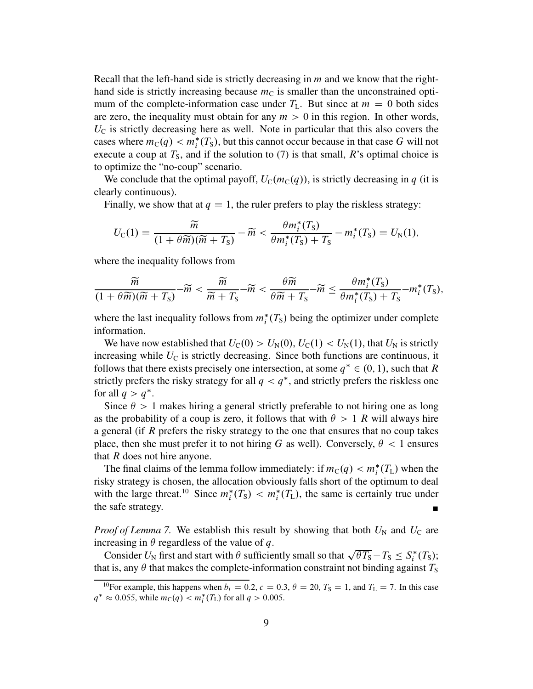Recall that the left-hand side is strictly decreasing in  $m$  and we know that the righthand side is strictly increasing because  $m<sub>C</sub>$  is smaller than the unconstrained optimum of the complete-information case under  $T<sub>L</sub>$ . But since at  $m = 0$  both sides are zero, the inequality must obtain for any  $m>0$  in this region. In other words,  $U_{\rm C}$  is strictly decreasing here as well. Note in particular that this also covers the cases where  $m_C(q) < m_i^*(T_S)$ , but this cannot occur because in that case G will not execute a coup at  $T_s$ , and if the solution to (7) is that small, R's optimal choice is to optimize the "no-coup" scenario.

We conclude that the optimal payoff,  $U_C(m_C(q))$ , is strictly decreasing in q (it is clearly continuous).

Finally, we show that at  $q = 1$ , the ruler prefers to play the riskless strategy:

$$
U_{\rm C}(1) = \frac{\widetilde{m}}{(1+\theta\widetilde{m})(\widetilde{m}+T_{\rm S})} - \widetilde{m} < \frac{\theta m_i^*(T_{\rm S})}{\theta m_i^*(T_{\rm S})+T_{\rm S}} - m_i^*(T_{\rm S}) = U_{\rm N}(1),
$$

where the inequality follows from

$$
\frac{\widetilde{m}}{(1+\theta\widetilde{m})(\widetilde{m}+T_{\rm S})}-\widetilde{m}<\frac{\widetilde{m}}{\widetilde{m}+T_{\rm S}}-\widetilde{m}<\frac{\theta\widetilde{m}}{\theta\widetilde{m}+T_{\rm S}}-\widetilde{m}\leq\frac{\theta m_i^*(T_{\rm S})}{\theta m_i^*(T_{\rm S})+T_{\rm S}}-m_i^*(T_{\rm S}),
$$

where the last inequality follows from  $m_i^*(T_s)$  being the optimizer under complete information.

We have now established that  $U_{\rm C}(0) > U_{\rm N}(0), U_{\rm C}(1) < U_{\rm N}(1)$ , that  $U_{\rm N}$  is strictly increasing while  $U_{\rm C}$  is strictly decreasing. Since both functions are continuous, it follows that there exists precisely one intersection, at some  $q^* \in (0, 1)$ , such that R strictly prefers the risky strategy for all  $q < q^*$ , and strictly prefers the riskless one for all  $q > q^*$ .

Since  $\theta > 1$  makes hiring a general strictly preferable to not hiring one as long as the probability of a coup is zero, it follows that with  $\theta > 1$  R will always hire a general (if R prefers the risky strategy to the one that ensures that no coup takes place, then she must prefer it to not hiring G as well). Conversely,  $\theta$  < 1 ensures that  $R$  does not hire anyone.

The final claims of the lemma follow immediately: if  $m_C(q) < m_i^*(T_L)$  when the risky strategy is chosen, the allocation obviously falls short of the optimum to deal with the large threat.<sup>10</sup> Since  $m_i^*(T_s) < m_i^*(T_L)$ , the same is certainly true under the safe strategy.

*Proof of Lemma 7.* We establish this result by showing that both  $U_N$  and  $U_C$  are increasing in  $\theta$  regardless of the value of q.

Consider  $U_N$  first and start with  $\theta$  sufficiently small so that  $\sqrt{\theta T_S} - T_S \leq S_i^*(T_S)$ ; that is, any  $\theta$  that makes the complete-information constraint not binding against  $T_s$ 

<sup>&</sup>lt;sup>10</sup>For example, this happens when  $b_i = 0.2, c = 0.3, \theta = 20, T_s = 1$ , and  $T_L = 7$ . In this case  $q^* \approx 0.055$ , while  $m_C(q) < m_i^*(T_L)$  for all  $q > 0.005$ .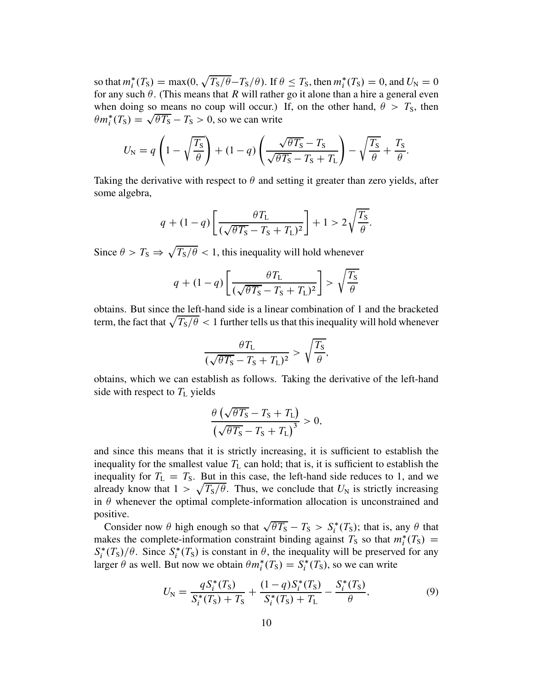so that  $m_i^*(T_S) = \max(0, \sqrt{T_S/\theta} - T_S/\theta)$ . If  $\theta \le T_S$ , then  $m_i^*(T_S) = 0$ , and  $U_N = 0$ for any such  $\theta$ . (This means that R will rather go it alone than a hire a general even when doing so means no coup will occur.) If, on the other hand,  $\theta > T_s$ , then  $\theta m_i^*(T_S) = \sqrt{\theta T_S} - T_S > 0$ , so we can write

$$
U_{\rm N} = q \left( 1 - \sqrt{\frac{T_{\rm S}}{\theta}} \right) + (1 - q) \left( \frac{\sqrt{\theta T_{\rm S}} - T_{\rm S}}{\sqrt{\theta T_{\rm S}} - T_{\rm S} + T_{\rm L}} \right) - \sqrt{\frac{T_{\rm S}}{\theta}} + \frac{T_{\rm S}}{\theta}.
$$

Taking the derivative with respect to  $\theta$  and setting it greater than zero yields, after some algebra,

$$
q + (1 - q) \left[ \frac{\theta T_{\rm L}}{(\sqrt{\theta T_{\rm S}} - T_{\rm S} + T_{\rm L})^2} \right] + 1 > 2 \sqrt{\frac{T_{\rm S}}{\theta}}.
$$

Since  $\theta > T_s \Rightarrow \sqrt{T_s/\theta} < 1$ , this inequality will hold whenever

$$
q + (1 - q) \left[ \frac{\theta T_{\rm L}}{(\sqrt{\theta T_{\rm S}} - T_{\rm S} + T_{\rm L})^2} \right] > \sqrt{\frac{T_{\rm S}}{\theta}}
$$

obtains. But since the left-hand side is a linear combination of 1 and the bracketed term, the fact that  $\sqrt{T_S/\theta}$  < 1 further tells us that this inequality will hold whenever

$$
\frac{\theta T_{\rm L}}{(\sqrt{\theta T_{\rm S}} - T_{\rm S} + T_{\rm L})^2} > \sqrt{\frac{T_{\rm S}}{\theta}},
$$

obtains, which we can establish as follows. Taking the derivative of the left-hand side with respect to  $T_L$  yields

$$
\frac{\theta\left(\sqrt{\theta T_{\rm S}}-T_{\rm S}+T_{\rm L}\right)}{\left(\sqrt{\theta T_{\rm S}}-T_{\rm S}+T_{\rm L}\right)^3}>0,
$$

and since this means that it is strictly increasing, it is sufficient to establish the inequality for the smallest value  $T<sub>L</sub>$  can hold; that is, it is sufficient to establish the inequality for  $T_L = T_S$ . But in this case, the left-hand side reduces to 1, and we already know that  $1 > \sqrt{T_S/\theta}$ . Thus, we conclude that  $U_N$  is strictly increasing in  $\theta$  whenever the optimal complete-information allocation is unconstrained and positive.

Consider now  $\theta$  high enough so that  $\sqrt{\theta T_S} - T_S > S_i^*(T_S)$ ; that is, any  $\theta$  that makes the complete-information constraint binding against  $T_s$  so that  $m_i^*(T_s)$  =  $S_i^*(T_S)/\theta$ . Since  $S_i^*(T_S)$  is constant in  $\theta$ , the inequality will be preserved for any larger  $\theta$  as well. But now we obtain  $\theta m_i^*(T_s) = S_i^*(T_s)$ , so we can write

$$
U_{\rm N} = \frac{qS_i^*(T_{\rm S})}{S_i^*(T_{\rm S}) + T_{\rm S}} + \frac{(1-q)S_i^*(T_{\rm S})}{S_i^*(T_{\rm S}) + T_{\rm L}} - \frac{S_i^*(T_{\rm S})}{\theta},\tag{9}
$$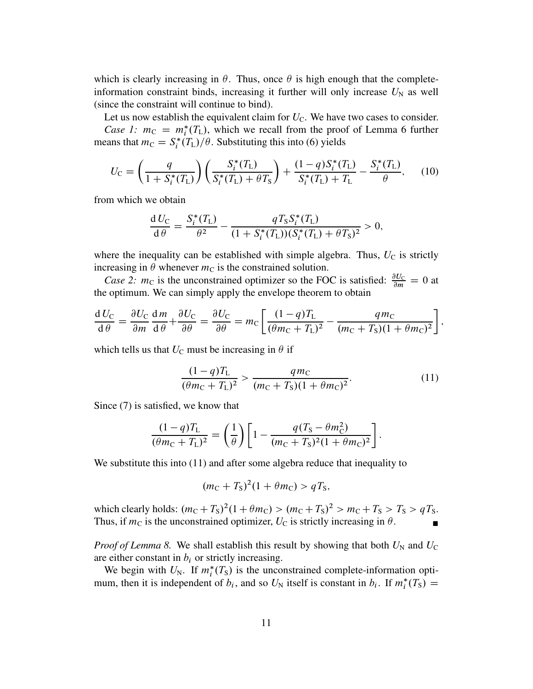which is clearly increasing in  $\theta$ . Thus, once  $\theta$  is high enough that the completeinformation constraint binds, increasing it further will only increase  $U_N$  as well (since the constraint will continue to bind).

Let us now establish the equivalent claim for  $U_{\rm C}$ . We have two cases to consider.

*Case 1:*  $m_C = m_i^*(T_L)$ , which we recall from the proof of Lemma 6 further means that  $m_C = S_i^*(T_L)/\theta$ . Substituting this into (6) yields

$$
U_{\rm C} = \left(\frac{q}{1 + S_i^*(T_{\rm L})}\right) \left(\frac{S_i^*(T_{\rm L})}{S_i^*(T_{\rm L}) + \theta T_{\rm S}}\right) + \frac{(1 - q)S_i^*(T_{\rm L})}{S_i^*(T_{\rm L}) + T_{\rm L}} - \frac{S_i^*(T_{\rm L})}{\theta},\tag{10}
$$

from which we obtain

$$
\frac{d U_C}{d \theta} = \frac{S_i^*(T_L)}{\theta^2} - \frac{q T_S S_i^*(T_L)}{(1 + S_i^*(T_L))(S_i^*(T_L) + \theta T_S)^2} > 0,
$$

where the inequality can be established with simple algebra. Thus,  $U_{\rm C}$  is strictly increasing in  $\theta$  whenever  $m<sub>C</sub>$  is the constrained solution.

*Case 2:*  $m_c$  is the unconstrained optimizer so the FOC is satisfied:  $\frac{\partial U_c}{\partial m} = 0$  at the optimum. We can simply apply the envelope theorem to obtain

$$
\frac{\mathrm{d} U_{\mathrm{C}}}{\mathrm{d} \theta} = \frac{\partial U_{\mathrm{C}}}{\partial m} \frac{\mathrm{d} m}{\mathrm{d} \theta} + \frac{\partial U_{\mathrm{C}}}{\partial \theta} = \frac{\partial U_{\mathrm{C}}}{\partial \theta} = m_{\mathrm{C}} \left[ \frac{(1-q)T_{\mathrm{L}}}{(\theta m_{\mathrm{C}} + T_{\mathrm{L}})^2} - \frac{qm_{\mathrm{C}}}{(m_{\mathrm{C}} + T_{\mathrm{S}})(1 + \theta m_{\mathrm{C}})^2} \right],
$$

which tells us that  $U_{\rm C}$  must be increasing in  $\theta$  if

$$
\frac{(1-q)T_{\rm L}}{(\theta m_{\rm C} + T_{\rm L})^2} > \frac{qm_{\rm C}}{(m_{\rm C} + T_{\rm S})(1 + \theta m_{\rm C})^2}.
$$
\n(11)

Since (7) is satisfied, we know that

$$
\frac{(1-q)T_{\rm L}}{(\theta m_{\rm C} + T_{\rm L})^2} = \left(\frac{1}{\theta}\right) \left[1 - \frac{q(T_{\rm S} - \theta m_{\rm C}^2)}{(m_{\rm C} + T_{\rm S})^2 (1 + \theta m_{\rm C})^2}\right].
$$

We substitute this into (11) and after some algebra reduce that inequality to

$$
(m_{\rm C}+T_{\rm S})^2(1+\theta m_{\rm C})>qT_{\rm S},
$$

which clearly holds:  $(m_C + T_S)^2 (1 + \theta m_C) > (m_C + T_S)^2 > m_C + T_S > T_S > qT_S$ . Thus, if  $m<sub>C</sub>$  is the unconstrained optimizer,  $U<sub>C</sub>$  is strictly increasing in  $\theta$ .

*Proof of Lemma 8.* We shall establish this result by showing that both  $U_N$  and  $U_C$ are either constant in  $b_i$  or strictly increasing.

We begin with  $U_N$ . If  $m_i^*(T_S)$  is the unconstrained complete-information optimum, then it is independent of  $b_i$ , and so  $U_N$  itself is constant in  $b_i$ . If  $m_i^*(T_S) =$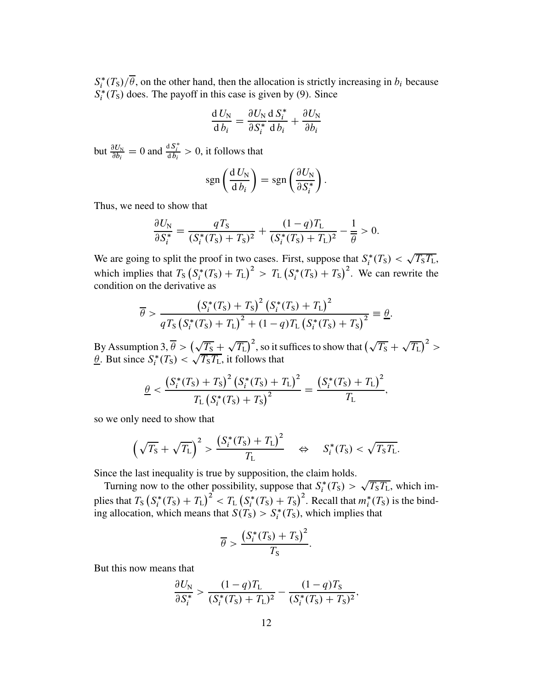$S_i^*(T_S)/\overline{\theta}$ , on the other hand, then the allocation is strictly increasing in  $b_i$  because  $S_i^*(T_s)$  does. The payoff in this case is given by (9). Since

$$
\frac{\mathrm{d} U_{\mathrm{N}}}{\mathrm{d} b_i} = \frac{\partial U_{\mathrm{N}}}{\partial S_i^*} \frac{\mathrm{d} S_i^*}{\mathrm{d} b_i} + \frac{\partial U_{\mathrm{N}}}{\partial b_i}
$$

but  $\frac{\partial U_N}{\partial b_i} = 0$  and  $\frac{dS_i^*}{db_i} > 0$ , it follows that

$$
sgn\left(\frac{d U_N}{d b_i}\right) = sgn\left(\frac{\partial U_N}{\partial S_i^*}\right).
$$

Thus, we need to show that

$$
\frac{\partial U_{\rm N}}{\partial S_i^*} = \frac{qT_{\rm S}}{(S_i^*(T_{\rm S}) + T_{\rm S})^2} + \frac{(1-q)T_{\rm L}}{(S_i^*(T_{\rm S}) + T_{\rm L})^2} - \frac{1}{\theta} > 0.
$$

We are going to split the proof in two cases. First, suppose that  $S_i^*(T_S) < \sqrt{T_S T_L}$ , which implies that  $T_S (S_i^*(T_S) + T_L)^2 > T_L (S_i^*(T_S) + T_S)^2$ . We can rewrite the condition on the derivative as

$$
\overline{\theta} > \frac{\left(S_i^*(T_S) + T_S\right)^2 \left(S_i^*(T_S) + T_L\right)^2}{q T_S \left(S_i^*(T_S) + T_L\right)^2 + (1 - q) T_L \left(S_i^*(T_S) + T_S\right)^2} \equiv \underline{\theta}.
$$

By Assumption 3,  $\overline{\theta} > (\sqrt{T_S} + \sqrt{T_L})^2$ , so it suffices to show that  $(\sqrt{T_S} + \sqrt{T_L})^2 >$  $\frac{\theta}{\theta}$ . But since  $S_i^*(T_s) < \sqrt{T_s T_L}$ , it follows that

$$
\frac{\theta}{T_{\rm L}} < \frac{\left(S_i^*(T_{\rm S}) + T_{\rm S}\right)^2 \left(S_i^*(T_{\rm S}) + T_{\rm L}\right)^2}{T_{\rm L} \left(S_i^*(T_{\rm S}) + T_{\rm S}\right)^2} = \frac{\left(S_i^*(T_{\rm S}) + T_{\rm L}\right)^2}{T_{\rm L}},
$$

so we only need to show that

$$
\left(\sqrt{T_{\rm S}}+\sqrt{T_{\rm L}}\right)^2>\frac{\left(S_i^*(T_{\rm S})+T_{\rm L}\right)^2}{T_{\rm L}}\quad\Leftrightarrow\quad S_i^*(T_{\rm S})<\sqrt{T_{\rm S}T_{\rm L}}.
$$

Since the last inequality is true by supposition, the claim holds.

Turning now to the other possibility, suppose that  $S_i^*(T_S) > \sqrt{T_S T_L}$ , which implies that  $T_S(S_i^*(T_S) + T_L)^2 < T_L(S_i^*(T_S) + T_S)^2$ . Recall that  $m_i^*(T_S)$  is the binding allocation, which means that  $S(T_S) > S_i^*(T_S)$ , which implies that

$$
\overline{\theta} > \frac{(S_i^*(T_{\rm S}) + T_{\rm S})^2}{T_{\rm S}}.
$$

But this now means that

$$
\frac{\partial U_{\rm N}}{\partial S_i^*} > \frac{(1-q)T_{\rm L}}{(S_i^*(T_{\rm S})+T_{\rm L})^2} - \frac{(1-q)T_{\rm S}}{(S_i^*(T_{\rm S})+T_{\rm S})^2},
$$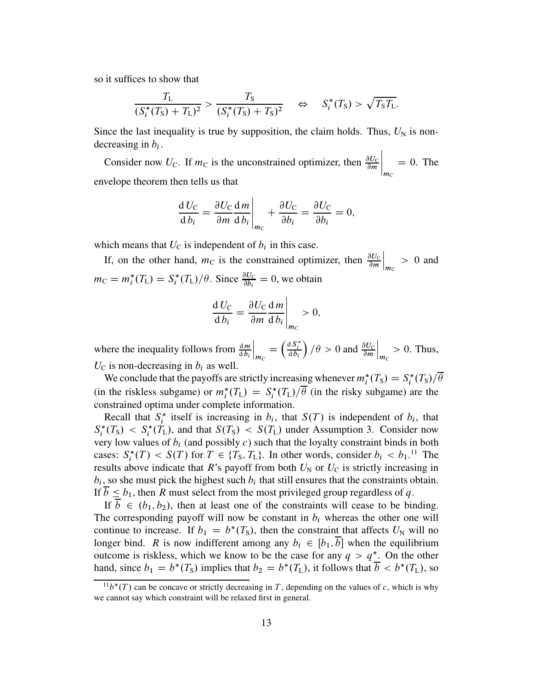so it suffices to show that

$$
\frac{T_{\rm L}}{(S_i^*(T_{\rm S})+T_{\rm L})^2} > \frac{T_{\rm S}}{(S_i^*(T_{\rm S})+T_{\rm S})^2} \quad \Leftrightarrow \quad S_i^*(T_{\rm S}) > \sqrt{T_{\rm S}T_{\rm L}}.
$$

Since the last inequality is true by supposition, the claim holds. Thus,  $U_N$  is nondecreasing in  $b_i$ .

Consider now  $U_{\rm C}$ . If  $m_{\rm C}$  is the unconstrained optimizer, then  $\frac{\partial U_{\rm C}}{\partial m}$  $\Big|_{m_{\rm C}} = 0$ . The envelope theorem then tells us that

$$
\frac{\mathrm{d} U_{\mathrm{C}}}{\mathrm{d} b_i} = \frac{\partial U_{\mathrm{C}}}{\partial m} \frac{\mathrm{d} m}{\mathrm{d} b_i} \bigg|_{m_{\mathrm{C}}} + \frac{\partial U_{\mathrm{C}}}{\partial b_i} = \frac{\partial U_{\mathrm{C}}}{\partial b_i} = 0,
$$

which means that  $U_{\rm C}$  is independent of  $b_i$  in this case.

If, on the other hand,  $m<sub>C</sub>$  is the constrained optimizer, then  $\frac{\partial U_C}{\partial m}$  $\Big|_{m_C} > 0$  and  $m_C = m_i^*(T_L) = S_i^*(T_L)/\theta$ . Since  $\frac{\partial U_C}{\partial b_i} = 0$ , we obtain

$$
\frac{\mathrm{d} U_{\mathrm{C}}}{\mathrm{d} b_i} = \frac{\partial U_{\mathrm{C}}}{\partial m} \frac{\mathrm{d} m}{\mathrm{d} b_i}\Bigg|_{m_{\mathrm{C}}} > 0,
$$

where the inequality follows from  $\frac{dm}{db_i}$  $\Big|_{m_{\rm C}} = \Big(\frac{\mathrm{d} S_i^*}{\mathrm{d} b_i}$  $\int/\theta > 0$  and  $\frac{\partial U_C}{\partial m}$  $\Big|_{m_{\rm C}} > 0$ . Thus,  $U_{\rm C}$  is non-decreasing in  $b_i$  as well.

We conclude that the payoffs are strictly increasing whenever  $m_i^*(T_s) = S_i^*(T_s)/\overline{\theta}$ (in the riskless subgame) or  $m_i^*(T_L) = S_i^*(T_L)/\overline{\theta}$  (in the risky subgame) are the constrained optima under complete information.

Recall that  $S_i^*$  itself is increasing in  $b_i$ , that  $S(T)$  is independent of  $b_i$ , that  $S_i^*(T_S) < S_i^*(T_L)$ , and that  $S(T_S) < S(T_L)$  under Assumption 3. Consider now very low values of  $b_i$  (and possibly c) such that the loyalty constraint binds in both cases:  $S_i^*(T) < S(T)$  for  $T \in \{T_s, T_t\}$ . In other words, consider  $b_i < b_1$ .<sup>11</sup> The results above indicate that R's payoff from both  $U_N$  or  $U_C$  is strictly increasing in  $b_i$ , so she must pick the highest such  $b_i$  that still ensures that the constraints obtain. If  $b \le b_1$ , then R must select from the most privileged group regardless of q.

If  $b \in (b_1, b_2)$ , then at least one of the constraints will cease to be binding. The corresponding payoff will now be constant in  $b_i$  whereas the other one will continue to increase. If  $b_1 = b^*(T_S)$ , then the constraint that affects  $U_N$  will no longer bind. R is now indifferent among any  $b_i \in [b_1, \overline{b}]$  when the equilibrium outcome is riskless, which we know to be the case for any  $q > q^*$ . On the other hand, since  $b_1 = b^*(T_S)$  implies that  $b_2 = b^*(T_L)$ , it follows that  $b < b^*(T_L)$ , so

 $11b*(T)$  can be concave or strictly decreasing in T, depending on the values of c, which is why we cannot say which constraint will be relaxed first in general.